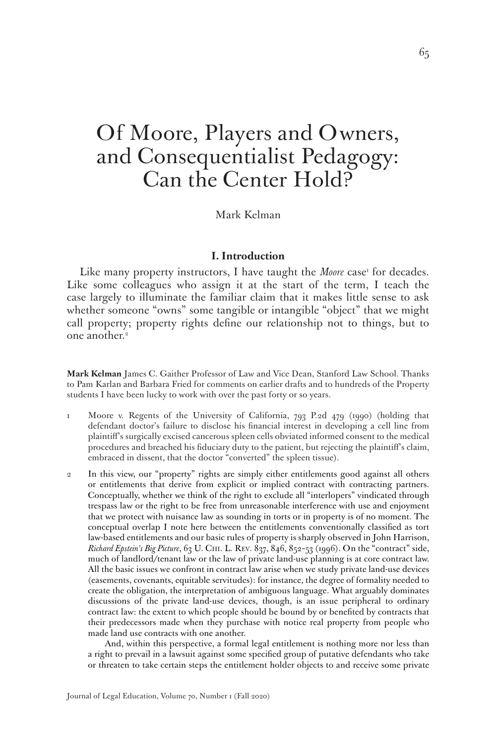# Of Moore, Players and Owners, and Consequentialist Pedagogy: Can the Center Hold?

Mark Kelman

#### **I. Introduction**

Like many property instructors, I have taught the *Moore* case<sup>1</sup> for decades. Like some colleagues who assign it at the start of the term, I teach the case largely to illuminate the familiar claim that it makes little sense to ask whether someone "owns" some tangible or intangible "object" that we might call property; property rights define our relationship not to things, but to one another.<sup>2</sup>

**Mark Kelman** James C. Gaither Professor of Law and Vice Dean, Stanford Law School. Thanks to Pam Karlan and Barbara Fried for comments on earlier drafts and to hundreds of the Property students I have been lucky to work with over the past forty or so years.

- 1 Moore v. Regents of the University of California, 793 P.2d 479 (1990) (holding that defendant doctor's failure to disclose his financial interest in developing a cell line from plaintiff's surgically excised cancerous spleen cells obviated informed consent to the medical procedures and breached his fiduciary duty to the patient, but rejecting the plaintiff's claim, embraced in dissent, that the doctor "converted" the spleen tissue).
- 2 In this view, our "property" rights are simply either entitlements good against all others or entitlements that derive from explicit or implied contract with contracting partners. Conceptually, whether we think of the right to exclude all "interlopers" vindicated through trespass law or the right to be free from unreasonable interference with use and enjoyment that we protect with nuisance law as sounding in torts or in property is of no moment. The conceptual overlap I note here between the entitlements conventionally classified as tort law-based entitlements and our basic rules of property is sharply observed in John Harrison, *Richard Epstein's Big Picture*, 63 U. Chi. L. Rev. 837, 846, 852–53 (1996). On the "contract" side, much of landlord/tenant law or the law of private land-use planning is at core contract law. All the basic issues we confront in contract law arise when we study private land-use devices (easements, covenants, equitable servitudes): for instance, the degree of formality needed to create the obligation, the interpretation of ambiguous language. What arguably dominates discussions of the private land-use devices, though, is an issue peripheral to ordinary contract law: the extent to which people should be bound by or benefited by contracts that their predecessors made when they purchase with notice real property from people who made land use contracts with one another.

 And, within this perspective, a formal legal entitlement is nothing more nor less than a right to prevail in a lawsuit against some specified group of putative defendants who take or threaten to take certain steps the entitlement holder objects to and receive some private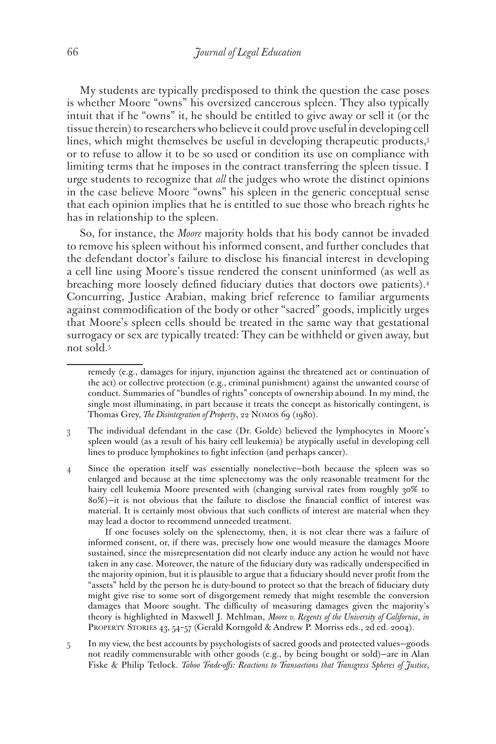My students are typically predisposed to think the question the case poses is whether Moore "owns" his oversized cancerous spleen. They also typically intuit that if he "owns" it, he should be entitled to give away or sell it (or the tissue therein) to researchers who believe it could prove useful in developing cell lines, which might themselves be useful in developing therapeutic products,<sup>3</sup> or to refuse to allow it to be so used or condition its use on compliance with limiting terms that he imposes in the contract transferring the spleen tissue. I urge students to recognize that *all* the judges who wrote the distinct opinions in the case believe Moore "owns" his spleen in the generic conceptual sense that each opinion implies that he is entitled to sue those who breach rights he has in relationship to the spleen.

So, for instance, the *Moore* majority holds that his body cannot be invaded to remove his spleen without his informed consent, and further concludes that the defendant doctor's failure to disclose his financial interest in developing a cell line using Moore's tissue rendered the consent uninformed (as well as breaching more loosely defined fiduciary duties that doctors owe patients).4 Concurring, Justice Arabian, making brief reference to familiar arguments against commodification of the body or other "sacred" goods, implicitly urges that Moore's spleen cells should be treated in the same way that gestational surrogacy or sex are typically treated: They can be withheld or given away, but not sold.5

 If one focuses solely on the splenectomy, then, it is not clear there was a failure of informed consent, or, if there was, precisely how one would measure the damages Moore sustained, since the misrepresentation did not clearly induce any action he would not have taken in any case. Moreover, the nature of the fiduciary duty was radically underspecified in the majority opinion, but it is plausible to argue that a fiduciary should never profit from the "assets" held by the person he is duty-bound to protect so that the breach of fiduciary duty might give rise to some sort of disgorgement remedy that might resemble the conversion damages that Moore sought. The difficulty of measuring damages given the majority's theory is highlighted in Maxwell J. Mehlman, *Moore v. Regents of the University of California*, *in* PROPERTY STORIES 43, 54-57 (Gerald Korngold & Andrew P. Morriss eds., 2d ed. 2004).

5 In my view, the best accounts by psychologists of sacred goods and protected values—goods not readily commensurable with other goods (e.g., by being bought or sold)—are in Alan Fiske & Philip Tetlock. *Taboo Trade-offs: Reactions to Transactions that Transgress Spheres of Justice*,

remedy (e.g., damages for injury, injunction against the threatened act or continuation of the act) or collective protection (e.g., criminal punishment) against the unwanted course of conduct. Summaries of "bundles of rights" concepts of ownership abound. In my mind, the single most illuminating, in part because it treats the concept as historically contingent, is Thomas Grey, *The Disintegration of Property*, 22 Nomos 69 (1980).

<sup>3</sup> The individual defendant in the case (Dr. Golde) believed the lymphocytes in Moore's spleen would (as a result of his hairy cell leukemia) be atypically useful in developing cell lines to produce lymphokines to fight infection (and perhaps cancer).

<sup>4</sup> Since the operation itself was essentially nonelective—both because the spleen was so enlarged and because at the time splenectomy was the only reasonable treatment for the hairy cell leukemia Moore presented with (changing survival rates from roughly 30% to 80%)—it is not obvious that the failure to disclose the financial conflict of interest was material. It is certainly most obvious that such conflicts of interest are material when they may lead a doctor to recommend unneeded treatment.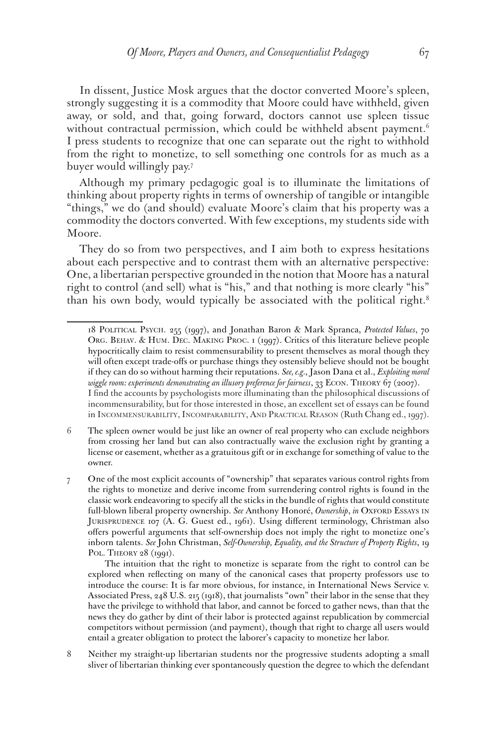In dissent, Justice Mosk argues that the doctor converted Moore's spleen, strongly suggesting it is a commodity that Moore could have withheld, given away, or sold, and that, going forward, doctors cannot use spleen tissue without contractual permission, which could be withheld absent payment.<sup>6</sup> I press students to recognize that one can separate out the right to withhold from the right to monetize, to sell something one controls for as much as a buyer would willingly pay.7

Although my primary pedagogic goal is to illuminate the limitations of thinking about property rights in terms of ownership of tangible or intangible "things," we do (and should) evaluate Moore's claim that his property was a commodity the doctors converted. With few exceptions, my students side with Moore.

They do so from two perspectives, and I aim both to express hesitations about each perspective and to contrast them with an alternative perspective: One, a libertarian perspective grounded in the notion that Moore has a natural right to control (and sell) what is "his," and that nothing is more clearly "his" than his own body, would typically be associated with the political right.<sup>8</sup>

<sup>18</sup> Political Psych. 255 (1997), and Jonathan Baron & Mark Spranca, *Protected Values*, 70 Org. Behav. & Hum. Dec. Making Proc. 1 (1997). Critics of this literature believe people hypocritically claim to resist commensurability to present themselves as moral though they will often except trade-offs or purchase things they ostensibly believe should not be bought if they can do so without harming their reputations. *See, e.g.*, Jason Dana et al., *Exploiting moral wiggle room: experiments demonstrating an illusory preference for fairness*, 33 Econ. Theory 67 (2007). I find the accounts by psychologists more illuminating than the philosophical discussions of incommensurability, but for those interested in those, an excellent set of essays can be found in Incommensurability, Incomparability, And Practical Reason (Ruth Chang ed., 1997).

<sup>6</sup> The spleen owner would be just like an owner of real property who can exclude neighbors from crossing her land but can also contractually waive the exclusion right by granting a license or easement, whether as a gratuitous gift or in exchange for something of value to the owner.

<sup>7</sup> One of the most explicit accounts of "ownership" that separates various control rights from the rights to monetize and derive income from surrendering control rights is found in the classic work endeavoring to specify all the sticks in the bundle of rights that would constitute full-blown liberal property ownership. *See* Anthony Honoré, *Ownership*, *in* Oxford Essays in Jurisprudence 107 (A. G. Guest ed., 1961). Using different terminology, Christman also offers powerful arguments that self-ownership does not imply the right to monetize one's inborn talents. *See* John Christman, *Self-Ownership, Equality, and the Structure of Property Rights*, 19 POL. THEORY 28 (1991).

The intuition that the right to monetize is separate from the right to control can be explored when reflecting on many of the canonical cases that property professors use to introduce the course: It is far more obvious, for instance, in International News Service v. Associated Press, 248 U.S. 215 (1918), that journalists "own" their labor in the sense that they have the privilege to withhold that labor, and cannot be forced to gather news, than that the news they do gather by dint of their labor is protected against republication by commercial competitors without permission (and payment), though that right to charge all users would entail a greater obligation to protect the laborer's capacity to monetize her labor.

<sup>8</sup> Neither my straight-up libertarian students nor the progressive students adopting a small sliver of libertarian thinking ever spontaneously question the degree to which the defendant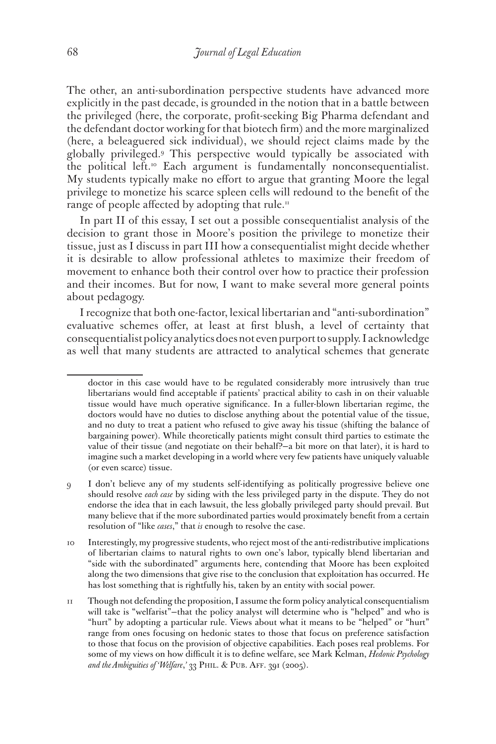The other, an anti-subordination perspective students have advanced more explicitly in the past decade, is grounded in the notion that in a battle between the privileged (here, the corporate, profit-seeking Big Pharma defendant and the defendant doctor working for that biotech firm) and the more marginalized (here, a beleaguered sick individual), we should reject claims made by the globally privileged.9 This perspective would typically be associated with the political left.<sup>10</sup> Each argument is fundamentally nonconsequentialist. My students typically make no effort to argue that granting Moore the legal privilege to monetize his scarce spleen cells will redound to the benefit of the range of people affected by adopting that rule.<sup>11</sup>

In part II of this essay, I set out a possible consequentialist analysis of the decision to grant those in Moore's position the privilege to monetize their tissue, just as I discuss in part III how a consequentialist might decide whether it is desirable to allow professional athletes to maximize their freedom of movement to enhance both their control over how to practice their profession and their incomes. But for now, I want to make several more general points about pedagogy.

I recognize that both one-factor, lexical libertarian and "anti-subordination" evaluative schemes offer, at least at first blush, a level of certainty that consequentialist policy analytics does not even purport to supply. I acknowledge as well that many students are attracted to analytical schemes that generate

doctor in this case would have to be regulated considerably more intrusively than true libertarians would find acceptable if patients' practical ability to cash in on their valuable tissue would have much operative significance. In a fuller-blown libertarian regime, the doctors would have no duties to disclose anything about the potential value of the tissue, and no duty to treat a patient who refused to give away his tissue (shifting the balance of bargaining power). While theoretically patients might consult third parties to estimate the value of their tissue (and negotiate on their behalf?—a bit more on that later), it is hard to imagine such a market developing in a world where very few patients have uniquely valuable (or even scarce) tissue.

<sup>9</sup> I don't believe any of my students self-identifying as politically progressive believe one should resolve *each case* by siding with the less privileged party in the dispute. They do not endorse the idea that in each lawsuit, the less globally privileged party should prevail. But many believe that if the more subordinated parties would proximately benefit from a certain resolution of "like *cases*," that *is* enough to resolve the case.

<sup>10</sup> Interestingly, my progressive students, who reject most of the anti-redistributive implications of libertarian claims to natural rights to own one's labor, typically blend libertarian and "side with the subordinated" arguments here, contending that Moore has been exploited along the two dimensions that give rise to the conclusion that exploitation has occurred. He has lost something that is rightfully his, taken by an entity with social power.

<sup>11</sup> Though not defending the proposition, I assume the form policy analytical consequentialism will take is "welfarist"—that the policy analyst will determine who is "helped" and who is "hurt" by adopting a particular rule. Views about what it means to be "helped" or "hurt" range from ones focusing on hedonic states to those that focus on preference satisfaction to those that focus on the provision of objective capabilities. Each poses real problems. For some of my views on how difficult it is to define welfare, see Mark Kelman, *Hedonic Psychology and the Ambiguities of 'Welfare*,*'* 33 Phil. & Pub. Aff. 391 (2005).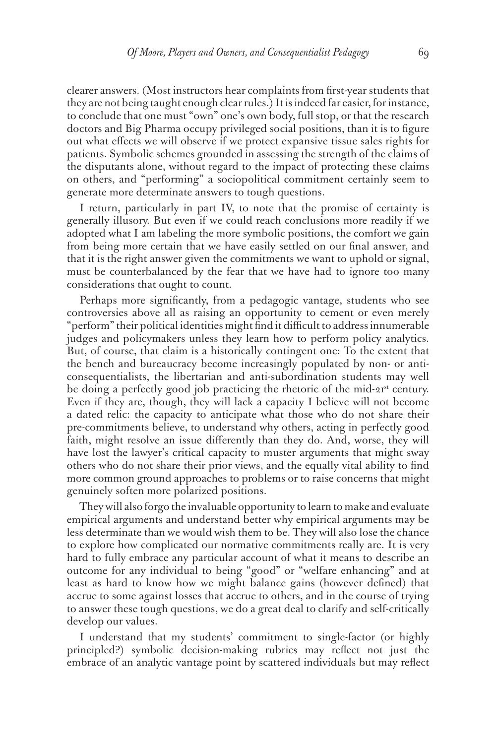clearer answers. (Most instructors hear complaints from first-year students that they are not being taught enough clear rules.) It is indeed far easier, for instance, to conclude that one must "own" one's own body, full stop, or that the research doctors and Big Pharma occupy privileged social positions, than it is to figure out what effects we will observe if we protect expansive tissue sales rights for patients. Symbolic schemes grounded in assessing the strength of the claims of the disputants alone, without regard to the impact of protecting these claims on others, and "performing" a sociopolitical commitment certainly seem to generate more determinate answers to tough questions.

I return, particularly in part IV, to note that the promise of certainty is generally illusory. But even if we could reach conclusions more readily if we adopted what I am labeling the more symbolic positions, the comfort we gain from being more certain that we have easily settled on our final answer, and that it is the right answer given the commitments we want to uphold or signal, must be counterbalanced by the fear that we have had to ignore too many considerations that ought to count.

Perhaps more significantly, from a pedagogic vantage, students who see controversies above all as raising an opportunity to cement or even merely "perform" their political identities might find it difficult to address innumerable judges and policymakers unless they learn how to perform policy analytics. But, of course, that claim is a historically contingent one: To the extent that the bench and bureaucracy become increasingly populated by non- or anticonsequentialists, the libertarian and anti-subordination students may well be doing a perfectly good job practicing the rhetoric of the mid-21<sup>st</sup> century. Even if they are, though, they will lack a capacity I believe will not become a dated relic: the capacity to anticipate what those who do not share their pre-commitments believe, to understand why others, acting in perfectly good faith, might resolve an issue differently than they do. And, worse, they will have lost the lawyer's critical capacity to muster arguments that might sway others who do not share their prior views, and the equally vital ability to find more common ground approaches to problems or to raise concerns that might genuinely soften more polarized positions.

They will also forgo the invaluable opportunity to learn to make and evaluate empirical arguments and understand better why empirical arguments may be less determinate than we would wish them to be. They will also lose the chance to explore how complicated our normative commitments really are. It is very hard to fully embrace any particular account of what it means to describe an outcome for any individual to being "good" or "welfare enhancing" and at least as hard to know how we might balance gains (however defined) that accrue to some against losses that accrue to others, and in the course of trying to answer these tough questions, we do a great deal to clarify and self-critically develop our values.

I understand that my students' commitment to single-factor (or highly principled?) symbolic decision-making rubrics may reflect not just the embrace of an analytic vantage point by scattered individuals but may reflect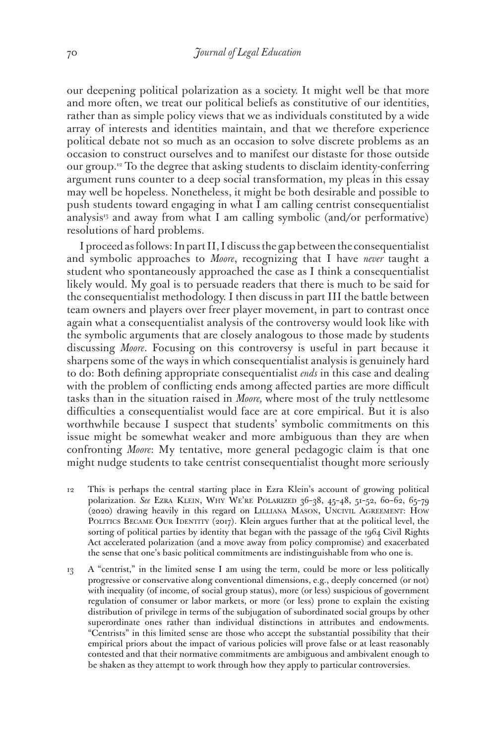our deepening political polarization as a society. It might well be that more and more often, we treat our political beliefs as constitutive of our identities, rather than as simple policy views that we as individuals constituted by a wide array of interests and identities maintain, and that we therefore experience political debate not so much as an occasion to solve discrete problems as an occasion to construct ourselves and to manifest our distaste for those outside our group.12 To the degree that asking students to disclaim identity-conferring argument runs counter to a deep social transformation, my pleas in this essay may well be hopeless. Nonetheless, it might be both desirable and possible to push students toward engaging in what I am calling centrist consequentialist analysis<sup>13</sup> and away from what I am calling symbolic (and/or performative) resolutions of hard problems.

I proceed as follows: In part II, I discuss the gap between the consequentialist and symbolic approaches to *Moore*, recognizing that I have *never* taught a student who spontaneously approached the case as I think a consequentialist likely would. My goal is to persuade readers that there is much to be said for the consequentialist methodology. I then discuss in part III the battle between team owners and players over freer player movement, in part to contrast once again what a consequentialist analysis of the controversy would look like with the symbolic arguments that are closely analogous to those made by students discussing *Moore*. Focusing on this controversy is useful in part because it sharpens some of the ways in which consequentialist analysis is genuinely hard to do: Both defining appropriate consequentialist *ends* in this case and dealing with the problem of conflicting ends among affected parties are more difficult tasks than in the situation raised in *Moore,* where most of the truly nettlesome difficulties a consequentialist would face are at core empirical. But it is also worthwhile because I suspect that students' symbolic commitments on this issue might be somewhat weaker and more ambiguous than they are when confronting *Moore*: My tentative, more general pedagogic claim is that one might nudge students to take centrist consequentialist thought more seriously

- 12 This is perhaps the central starting place in Ezra Klein's account of growing political polarization. *See* Ezra Klein, Why We're Polarized 36–38, 45–48, 51–52, 60–62, 65–79 (2020) drawing heavily in this regard on Lilliana Mason, Uncivil Agreement: How POLITICS BECAME OUR IDENTITY (2017). Klein argues further that at the political level, the sorting of political parties by identity that began with the passage of the 1964 Civil Rights Act accelerated polarization (and a move away from policy compromise) and exacerbated the sense that one's basic political commitments are indistinguishable from who one is.
- 13 A "centrist," in the limited sense I am using the term, could be more or less politically progressive or conservative along conventional dimensions, e.g., deeply concerned (or not) with inequality (of income, of social group status), more (or less) suspicious of government regulation of consumer or labor markets, or more (or less) prone to explain the existing distribution of privilege in terms of the subjugation of subordinated social groups by other superordinate ones rather than individual distinctions in attributes and endowments. "Centrists" in this limited sense are those who accept the substantial possibility that their empirical priors about the impact of various policies will prove false or at least reasonably contested and that their normative commitments are ambiguous and ambivalent enough to be shaken as they attempt to work through how they apply to particular controversies.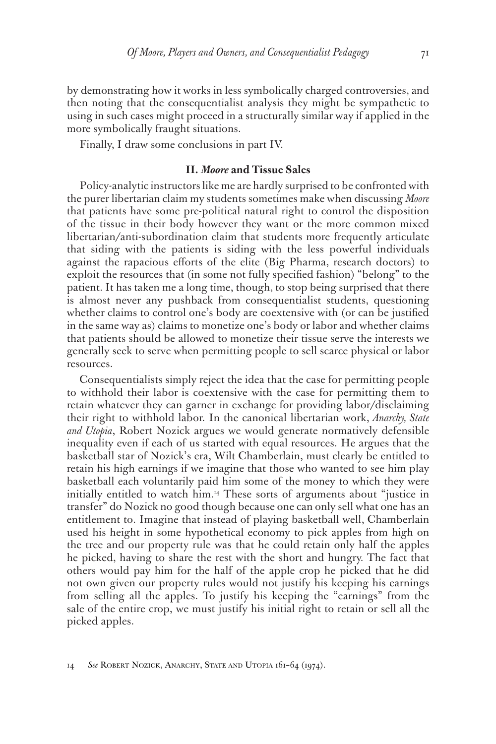by demonstrating how it works in less symbolically charged controversies, and then noting that the consequentialist analysis they might be sympathetic to using in such cases might proceed in a structurally similar way if applied in the more symbolically fraught situations.

Finally, I draw some conclusions in part IV.

### **II.** *Moore* **and Tissue Sales**

Policy-analytic instructors like me are hardly surprised to be confronted with the purer libertarian claim my students sometimes make when discussing *Moore* that patients have some pre-political natural right to control the disposition of the tissue in their body however they want or the more common mixed libertarian/anti-subordination claim that students more frequently articulate that siding with the patients is siding with the less powerful individuals against the rapacious efforts of the elite (Big Pharma, research doctors) to exploit the resources that (in some not fully specified fashion) "belong" to the patient. It has taken me a long time, though, to stop being surprised that there is almost never any pushback from consequentialist students, questioning whether claims to control one's body are coextensive with (or can be justified in the same way as) claims to monetize one's body or labor and whether claims that patients should be allowed to monetize their tissue serve the interests we generally seek to serve when permitting people to sell scarce physical or labor resources.

Consequentialists simply reject the idea that the case for permitting people to withhold their labor is coextensive with the case for permitting them to retain whatever they can garner in exchange for providing labor/disclaiming their right to withhold labor. In the canonical libertarian work, *Anarchy, State and Utopia*, Robert Nozick argues we would generate normatively defensible inequality even if each of us started with equal resources. He argues that the basketball star of Nozick's era, Wilt Chamberlain, must clearly be entitled to retain his high earnings if we imagine that those who wanted to see him play basketball each voluntarily paid him some of the money to which they were initially entitled to watch him.14 These sorts of arguments about "justice in transfer" do Nozick no good though because one can only sell what one has an entitlement to. Imagine that instead of playing basketball well, Chamberlain used his height in some hypothetical economy to pick apples from high on the tree and our property rule was that he could retain only half the apples he picked, having to share the rest with the short and hungry. The fact that others would pay him for the half of the apple crop he picked that he did not own given our property rules would not justify his keeping his earnings from selling all the apples. To justify his keeping the "earnings" from the sale of the entire crop, we must justify his initial right to retain or sell all the picked apples.

<sup>14</sup> *See* Robert Nozick, Anarchy, State and Utopia 161–64 (1974).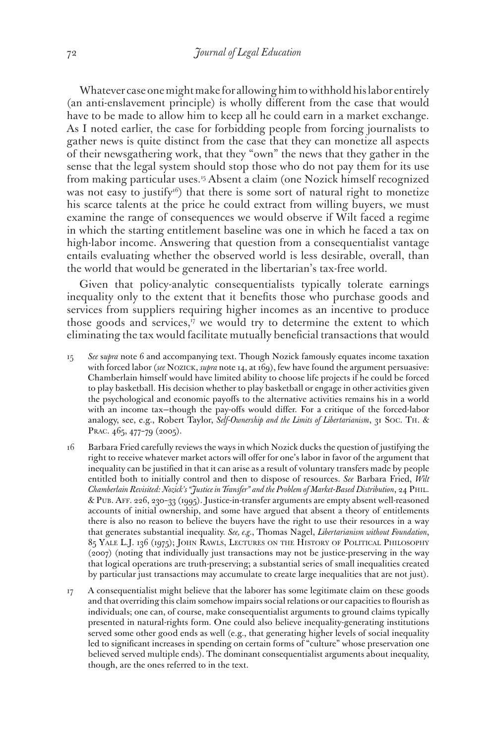Whatever case one might make for allowing him to withhold his labor entirely (an anti-enslavement principle) is wholly different from the case that would have to be made to allow him to keep all he could earn in a market exchange. As I noted earlier, the case for forbidding people from forcing journalists to gather news is quite distinct from the case that they can monetize all aspects of their newsgathering work, that they "own" the news that they gather in the sense that the legal system should stop those who do not pay them for its use from making particular uses.<sup>15</sup> Absent a claim (one Nozick himself recognized was not easy to justify<sup>16</sup>) that there is some sort of natural right to monetize his scarce talents at the price he could extract from willing buyers, we must examine the range of consequences we would observe if Wilt faced a regime in which the starting entitlement baseline was one in which he faced a tax on high-labor income. Answering that question from a consequentialist vantage entails evaluating whether the observed world is less desirable, overall, than the world that would be generated in the libertarian's tax-free world.

Given that policy-analytic consequentialists typically tolerate earnings inequality only to the extent that it benefits those who purchase goods and services from suppliers requiring higher incomes as an incentive to produce those goods and services, $\frac{17}{12}$  we would try to determine the extent to which eliminating the tax would facilitate mutually beneficial transactions that would

- 15 *See* s*upra* note 6 and accompanying text. Though Nozick famously equates income taxation with forced labor (*see* Nozick, *supra* note 14, at 169), few have found the argument persuasive: Chamberlain himself would have limited ability to choose life projects if he could be forced to play basketball. His decision whether to play basketball or engage in other activities given the psychological and economic payoffs to the alternative activities remains his in a world with an income tax—though the pay-offs would differ. For a critique of the forced-labor analogy, see, e.g., Robert Taylor, *Self-Ownership and the Limits of Libertarianism*, 31 Soc. Th. & PRAC. 465, 477-79 (2005).
- 16 Barbara Fried carefully reviews the ways in which Nozick ducks the question of justifying the right to receive whatever market actors will offer for one's labor in favor of the argument that inequality can be justified in that it can arise as a result of voluntary transfers made by people entitled both to initially control and then to dispose of resources. *See* Barbara Fried, *Wilt Chamberlain Revisited: Nozick's "Justice in Transfer" and the Problem of Market-Based Distribution*, 24 Phil. & Pub. Aff. 226, 230–33 (1995). Justice-in-transfer arguments are empty absent well-reasoned accounts of initial ownership, and some have argued that absent a theory of entitlements there is also no reason to believe the buyers have the right to use their resources in a way that generates substantial inequality. *See, e.g.*, Thomas Nagel, *Libertarianism without Foundation*, 85 Yale L.J. 136 (1975); John Rawls, Lectures on the History of Political Philosophy (2007) (noting that individually just transactions may not be justice-preserving in the way that logical operations are truth-preserving; a substantial series of small inequalities created by particular just transactions may accumulate to create large inequalities that are not just).
- 17 A consequentialist might believe that the laborer has some legitimate claim on these goods and that overriding this claim somehow impairs social relations or our capacities to flourish as individuals; one can, of course, make consequentialist arguments to ground claims typically presented in natural-rights form. One could also believe inequality-generating institutions served some other good ends as well (e.g., that generating higher levels of social inequality led to significant increases in spending on certain forms of "culture" whose preservation one believed served multiple ends). The dominant consequentialist arguments about inequality, though, are the ones referred to in the text.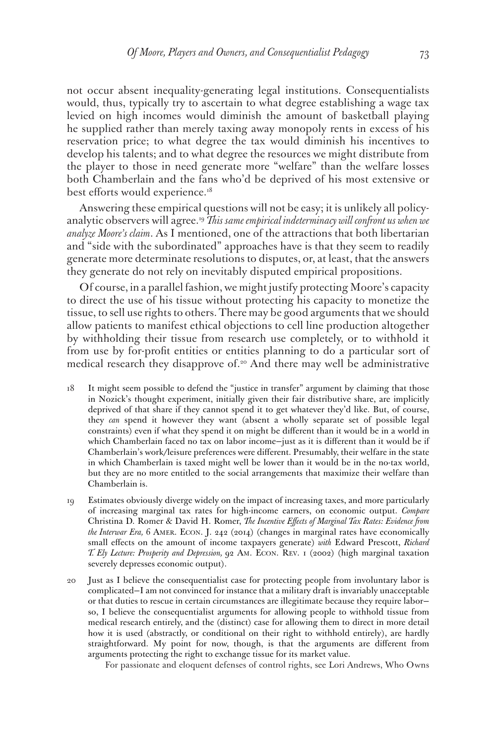not occur absent inequality-generating legal institutions. Consequentialists would, thus, typically try to ascertain to what degree establishing a wage tax levied on high incomes would diminish the amount of basketball playing he supplied rather than merely taxing away monopoly rents in excess of his reservation price; to what degree the tax would diminish his incentives to develop his talents; and to what degree the resources we might distribute from the player to those in need generate more "welfare" than the welfare losses both Chamberlain and the fans who'd be deprived of his most extensive or best efforts would experience.<sup>18</sup>

Answering these empirical questions will not be easy; it is unlikely all policyanalytic observers will agree.19 *This same empirical indeterminacy will confront us when we analyze Moore's claim*. As I mentioned, one of the attractions that both libertarian and "side with the subordinated" approaches have is that they seem to readily generate more determinate resolutions to disputes, or, at least, that the answers they generate do not rely on inevitably disputed empirical propositions.

Of course, in a parallel fashion, we might justify protecting Moore's capacity to direct the use of his tissue without protecting his capacity to monetize the tissue, to sell use rights to others. There may be good arguments that we should allow patients to manifest ethical objections to cell line production altogether by withholding their tissue from research use completely, or to withhold it from use by for-profit entities or entities planning to do a particular sort of medical research they disapprove of.<sup>20</sup> And there may well be administrative

- 18 It might seem possible to defend the "justice in transfer" argument by claiming that those in Nozick's thought experiment, initially given their fair distributive share, are implicitly deprived of that share if they cannot spend it to get whatever they'd like. But, of course, they *can* spend it however they want (absent a wholly separate set of possible legal constraints) even if what they spend it on might be different than it would be in a world in which Chamberlain faced no tax on labor income—just as it is different than it would be if Chamberlain's work/leisure preferences were different. Presumably, their welfare in the state in which Chamberlain is taxed might well be lower than it would be in the no-tax world, but they are no more entitled to the social arrangements that maximize their welfare than Chamberlain is.
- 19 Estimates obviously diverge widely on the impact of increasing taxes, and more particularly of increasing marginal tax rates for high-income earners, on economic output. *Compare* Christina D. Romer & David H. Romer, *The Incentive Effects of Marginal Tax Rates: Evidence from the Interwar Era,* 6 Amer. Econ. J. 242 (2014) (changes in marginal rates have economically small effects on the amount of income taxpayers generate) *with* Edward Prescott, *Richard T. Ely Lecture: Prosperity and Depression,* 92 Am. Econ. Rev. 1 (2002) (high marginal taxation severely depresses economic output).
- 20 Just as I believe the consequentialist case for protecting people from involuntary labor is complicated—I am not convinced for instance that a military draft is invariably unacceptable or that duties to rescue in certain circumstances are illegitimate because they require labor so, I believe the consequentialist arguments for allowing people to withhold tissue from medical research entirely, and the (distinct) case for allowing them to direct in more detail how it is used (abstractly, or conditional on their right to withhold entirely), are hardly straightforward. My point for now, though, is that the arguments are different from arguments protecting the right to exchange tissue for its market value.

For passionate and eloquent defenses of control rights, see Lori Andrews, Who Owns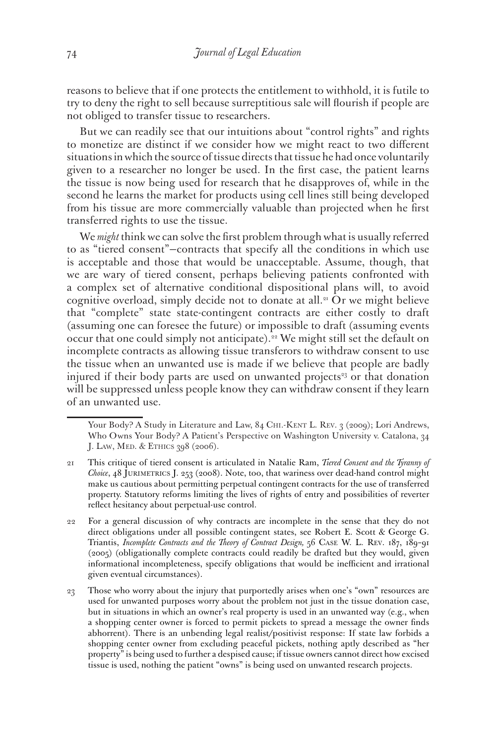reasons to believe that if one protects the entitlement to withhold, it is futile to try to deny the right to sell because surreptitious sale will flourish if people are not obliged to transfer tissue to researchers.

But we can readily see that our intuitions about "control rights" and rights to monetize are distinct if we consider how we might react to two different situations in which the source of tissue directs that tissue he had once voluntarily given to a researcher no longer be used. In the first case, the patient learns the tissue is now being used for research that he disapproves of, while in the second he learns the market for products using cell lines still being developed from his tissue are more commercially valuable than projected when he first transferred rights to use the tissue.

We *might* think we can solve the first problem through what is usually referred to as "tiered consent"—contracts that specify all the conditions in which use is acceptable and those that would be unacceptable. Assume, though, that we are wary of tiered consent, perhaps believing patients confronted with a complex set of alternative conditional dispositional plans will, to avoid cognitive overload, simply decide not to donate at all.<sup>21</sup> Or we might believe that "complete" state state-contingent contracts are either costly to draft (assuming one can foresee the future) or impossible to draft (assuming events occur that one could simply not anticipate).<sup>22</sup> We might still set the default on incomplete contracts as allowing tissue transferors to withdraw consent to use the tissue when an unwanted use is made if we believe that people are badly injured if their body parts are used on unwanted projects<sup>23</sup> or that donation will be suppressed unless people know they can withdraw consent if they learn of an unwanted use.

Your Body? A Study in Literature and Law, 84 CHI.-KENT L. REV. 3 (2009); Lori Andrews, Who Owns Your Body? A Patient's Perspective on Washington University v. Catalona, 34 J. LAW, MED. & ETHICS 398 (2006).

<sup>21</sup> This critique of tiered consent is articulated in Natalie Ram, *Tiered Consent and the Tyranny of Choice*, 48 Jurimetrics J. 253 (2008). Note, too, that wariness over dead-hand control might make us cautious about permitting perpetual contingent contracts for the use of transferred property. Statutory reforms limiting the lives of rights of entry and possibilities of reverter reflect hesitancy about perpetual-use control.

<sup>22</sup> For a general discussion of why contracts are incomplete in the sense that they do not direct obligations under all possible contingent states, see Robert E. Scott & George G. Triantis, *Incomplete Contracts and the Theory of Contract Design,* 56 Case W. L. Rev. 187, 189–91 (2005) (obligationally complete contracts could readily be drafted but they would, given informational incompleteness, specify obligations that would be inefficient and irrational given eventual circumstances).

<sup>23</sup> Those who worry about the injury that purportedly arises when one's "own" resources are used for unwanted purposes worry about the problem not just in the tissue donation case, but in situations in which an owner's real property is used in an unwanted way (e.g., when a shopping center owner is forced to permit pickets to spread a message the owner finds abhorrent). There is an unbending legal realist/positivist response: If state law forbids a shopping center owner from excluding peaceful pickets, nothing aptly described as "her property" is being used to further a despised cause; if tissue owners cannot direct how excised tissue is used, nothing the patient "owns" is being used on unwanted research projects.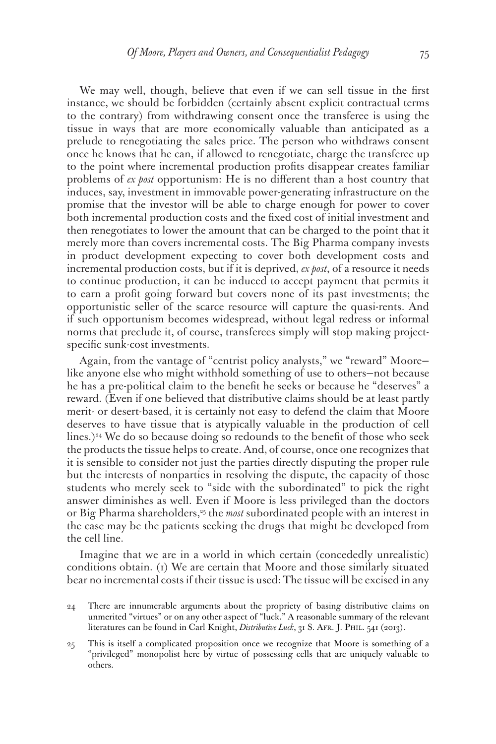We may well, though, believe that even if we can sell tissue in the first instance, we should be forbidden (certainly absent explicit contractual terms to the contrary) from withdrawing consent once the transferee is using the tissue in ways that are more economically valuable than anticipated as a prelude to renegotiating the sales price. The person who withdraws consent once he knows that he can, if allowed to renegotiate, charge the transferee up to the point where incremental production profits disappear creates familiar problems of *ex post* opportunism: He is no different than a host country that induces, say, investment in immovable power-generating infrastructure on the promise that the investor will be able to charge enough for power to cover both incremental production costs and the fixed cost of initial investment and then renegotiates to lower the amount that can be charged to the point that it merely more than covers incremental costs. The Big Pharma company invests in product development expecting to cover both development costs and incremental production costs, but if it is deprived, *ex post*, of a resource it needs to continue production, it can be induced to accept payment that permits it to earn a profit going forward but covers none of its past investments; the opportunistic seller of the scarce resource will capture the quasi-rents. And if such opportunism becomes widespread, without legal redress or informal norms that preclude it, of course, transferees simply will stop making projectspecific sunk-cost investments.

Again, from the vantage of "centrist policy analysts," we "reward" Moore like anyone else who might withhold something of use to others—not because he has a pre-political claim to the benefit he seeks or because he "deserves" a reward. (Even if one believed that distributive claims should be at least partly merit- or desert-based, it is certainly not easy to defend the claim that Moore deserves to have tissue that is atypically valuable in the production of cell lines.)<sup>24</sup> We do so because doing so redounds to the benefit of those who seek the products the tissue helps to create. And, of course, once one recognizes that it is sensible to consider not just the parties directly disputing the proper rule but the interests of nonparties in resolving the dispute, the capacity of those students who merely seek to "side with the subordinated" to pick the right answer diminishes as well. Even if Moore is less privileged than the doctors or Big Pharma shareholders,<sup>25</sup> the *most* subordinated people with an interest in the case may be the patients seeking the drugs that might be developed from the cell line.

Imagine that we are in a world in which certain (concededly unrealistic) conditions obtain. (1) We are certain that Moore and those similarly situated bear no incremental costs if their tissue is used: The tissue will be excised in any

<sup>24</sup> There are innumerable arguments about the propriety of basing distributive claims on unmerited "virtues" or on any other aspect of "luck." A reasonable summary of the relevant literatures can be found in Carl Knight, *Distributive Luck*, 31 S. Afr. J. Phil. 541 (2013).

<sup>25</sup> This is itself a complicated proposition once we recognize that Moore is something of a "privileged" monopolist here by virtue of possessing cells that are uniquely valuable to others.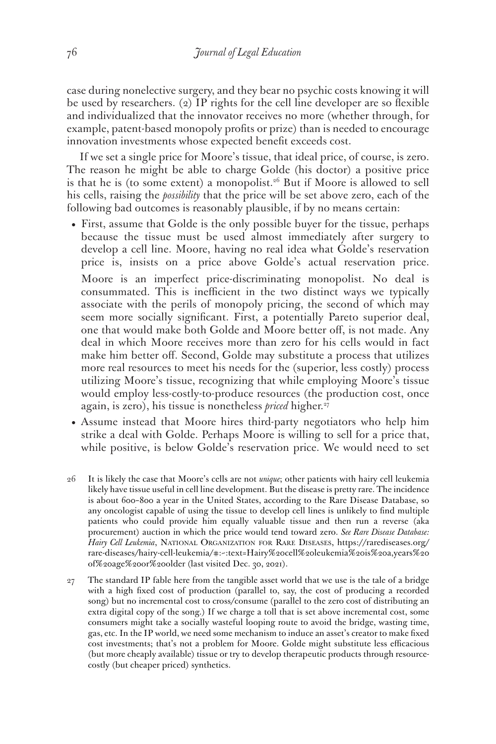case during nonelective surgery, and they bear no psychic costs knowing it will be used by researchers. (2) IP rights for the cell line developer are so flexible and individualized that the innovator receives no more (whether through, for example, patent-based monopoly profits or prize) than is needed to encourage innovation investments whose expected benefit exceeds cost.

If we set a single price for Moore's tissue, that ideal price, of course, is zero. The reason he might be able to charge Golde (his doctor) a positive price is that he is (to some extent) a monopolist.<sup>26</sup> But if Moore is allowed to sell his cells, raising the *possibility* that the price will be set above zero, each of the following bad outcomes is reasonably plausible, if by no means certain:

- First, assume that Golde is the only possible buyer for the tissue, perhaps because the tissue must be used almost immediately after surgery to develop a cell line. Moore, having no real idea what Golde's reservation price is, insists on a price above Golde's actual reservation price. Moore is an imperfect price-discriminating monopolist. No deal is consummated. This is inefficient in the two distinct ways we typically associate with the perils of monopoly pricing, the second of which may seem more socially significant. First, a potentially Pareto superior deal, one that would make both Golde and Moore better off, is not made. Any deal in which Moore receives more than zero for his cells would in fact make him better off. Second, Golde may substitute a process that utilizes more real resources to meet his needs for the (superior, less costly) process utilizing Moore's tissue, recognizing that while employing Moore's tissue would employ less-costly-to-produce resources (the production cost, once again, is zero), his tissue is nonetheless *priced* higher.<sup>27</sup>
- Assume instead that Moore hires third-party negotiators who help him strike a deal with Golde. Perhaps Moore is willing to sell for a price that, while positive, is below Golde's reservation price. We would need to set
- 26 It is likely the case that Moore's cells are not *unique*; other patients with hairy cell leukemia likely have tissue useful in cell line development. But the disease is pretty rare. The incidence is about 600–800 a year in the United States, according to the Rare Disease Database, so any oncologist capable of using the tissue to develop cell lines is unlikely to find multiple patients who could provide him equally valuable tissue and then run a reverse (aka procurement) auction in which the price would tend toward zero. *See Rare Disease Database: Hairy Cell Leukemia*, National Organization for Rare Diseases, https://rarediseases.org/ rare-diseases/hairy-cell-leukemia/#:~:text=Hairy%20cell%20leukemia%20is%20a,years%20 of%20age%20or%20older (last visited Dec. 30, 2021).
- 27 The standard IP fable here from the tangible asset world that we use is the tale of a bridge with a high fixed cost of production (parallel to, say, the cost of producing a recorded song) but no incremental cost to cross/consume (parallel to the zero cost of distributing an extra digital copy of the song.) If we charge a toll that is set above incremental cost, some consumers might take a socially wasteful looping route to avoid the bridge, wasting time, gas, etc. In the IP world, we need some mechanism to induce an asset's creator to make fixed cost investments; that's not a problem for Moore. Golde might substitute less efficacious (but more cheaply available) tissue or try to develop therapeutic products through resourcecostly (but cheaper priced) synthetics.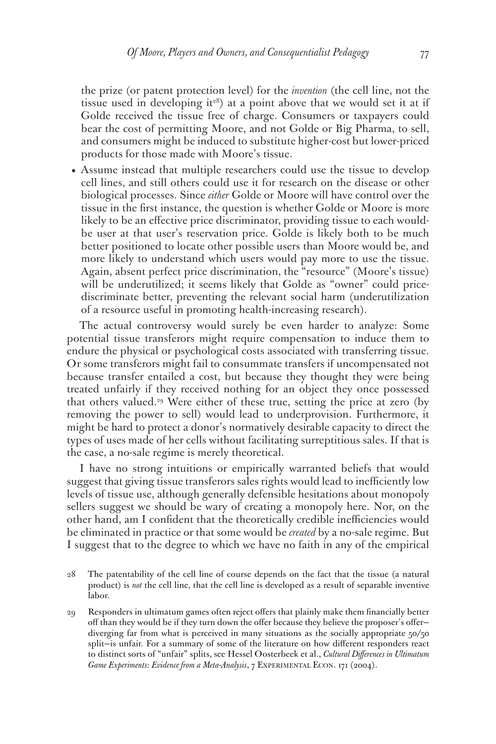the prize (or patent protection level) for the *invention* (the cell line, not the tissue used in developing it<sup>28</sup>) at a point above that we would set it at if Golde received the tissue free of charge. Consumers or taxpayers could bear the cost of permitting Moore, and not Golde or Big Pharma, to sell, and consumers might be induced to substitute higher-cost but lower-priced products for those made with Moore's tissue.

• Assume instead that multiple researchers could use the tissue to develop cell lines, and still others could use it for research on the disease or other biological processes. Since *either* Golde or Moore will have control over the tissue in the first instance, the question is whether Golde or Moore is more likely to be an effective price discriminator, providing tissue to each wouldbe user at that user's reservation price. Golde is likely both to be much better positioned to locate other possible users than Moore would be, and more likely to understand which users would pay more to use the tissue. Again, absent perfect price discrimination, the "resource" (Moore's tissue) will be underutilized; it seems likely that Golde as "owner" could pricediscriminate better, preventing the relevant social harm (underutilization of a resource useful in promoting health-increasing research).

The actual controversy would surely be even harder to analyze: Some potential tissue transferors might require compensation to induce them to endure the physical or psychological costs associated with transferring tissue. Or some transferors might fail to consummate transfers if uncompensated not because transfer entailed a cost, but because they thought they were being treated unfairly if they received nothing for an object they once possessed that others valued.29 Were either of these true, setting the price at zero (by removing the power to sell) would lead to underprovision. Furthermore, it might be hard to protect a donor's normatively desirable capacity to direct the types of uses made of her cells without facilitating surreptitious sales. If that is the case, a no-sale regime is merely theoretical.

I have no strong intuitions or empirically warranted beliefs that would suggest that giving tissue transferors sales rights would lead to inefficiently low levels of tissue use, although generally defensible hesitations about monopoly sellers suggest we should be wary of creating a monopoly here. Nor, on the other hand, am I confident that the theoretically credible inefficiencies would be eliminated in practice or that some would be *created* by a no-sale regime. But I suggest that to the degree to which we have no faith in any of the empirical

- 28 The patentability of the cell line of course depends on the fact that the tissue (a natural product) is *not* the cell line, that the cell line is developed as a result of separable inventive labor.
- 29 Responders in ultimatum games often reject offers that plainly make them financially better off than they would be if they turn down the offer because they believe the proposer's offer diverging far from what is perceived in many situations as the socially appropriate 50/50 split—is unfair. For a summary of some of the literature on how different responders react to distinct sorts of "unfair" splits, see Hessel Oosterbeek et al., *Cultural Differences in Ultimatum*  Game Experiments: Evidence from a Meta-Analysis, 7 EXPERIMENTAL ECON. 171 (2004).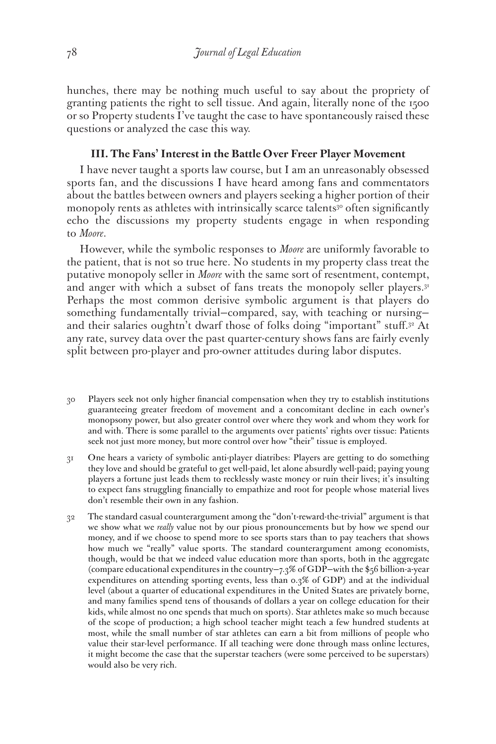hunches, there may be nothing much useful to say about the propriety of granting patients the right to sell tissue. And again, literally none of the 1500 or so Property students I've taught the case to have spontaneously raised these questions or analyzed the case this way.

## **III. The Fans' Interest in the Battle Over Freer Player Movement**

I have never taught a sports law course, but I am an unreasonably obsessed sports fan, and the discussions I have heard among fans and commentators about the battles between owners and players seeking a higher portion of their monopoly rents as athletes with intrinsically scarce talents<sup>30</sup> often significantly echo the discussions my property students engage in when responding to *Moore*.

However, while the symbolic responses to *Moore* are uniformly favorable to the patient, that is not so true here. No students in my property class treat the putative monopoly seller in *Moore* with the same sort of resentment, contempt, and anger with which a subset of fans treats the monopoly seller players.<sup>31</sup> Perhaps the most common derisive symbolic argument is that players do something fundamentally trivial—compared, say, with teaching or nursing and their salaries oughtn't dwarf those of folks doing "important" stuff.32 At any rate, survey data over the past quarter-century shows fans are fairly evenly split between pro-player and pro-owner attitudes during labor disputes.

- 30 Players seek not only higher financial compensation when they try to establish institutions guaranteeing greater freedom of movement and a concomitant decline in each owner's monopsony power, but also greater control over where they work and whom they work for and with. There is some parallel to the arguments over patients' rights over tissue: Patients seek not just more money, but more control over how "their" tissue is employed.
- 31 One hears a variety of symbolic anti-player diatribes: Players are getting to do something they love and should be grateful to get well-paid, let alone absurdly well-paid; paying young players a fortune just leads them to recklessly waste money or ruin their lives; it's insulting to expect fans struggling financially to empathize and root for people whose material lives don't resemble their own in any fashion.
- 32 The standard casual counterargument among the "don't-reward-the-trivial" argument is that we show what we *really* value not by our pious pronouncements but by how we spend our money, and if we choose to spend more to see sports stars than to pay teachers that shows how much we "really" value sports. The standard counterargument among economists, though, would be that we indeed value education more than sports, both in the aggregate (compare educational expenditures in the country—7.3% of GDP—with the \$56 billion-a-year expenditures on attending sporting events, less than 0.3% of GDP) and at the individual level (about a quarter of educational expenditures in the United States are privately borne, and many families spend tens of thousands of dollars a year on college education for their kids, while almost no one spends that much on sports). Star athletes make so much because of the scope of production; a high school teacher might teach a few hundred students at most, while the small number of star athletes can earn a bit from millions of people who value their star-level performance. If all teaching were done through mass online lectures, it might become the case that the superstar teachers (were some perceived to be superstars) would also be very rich.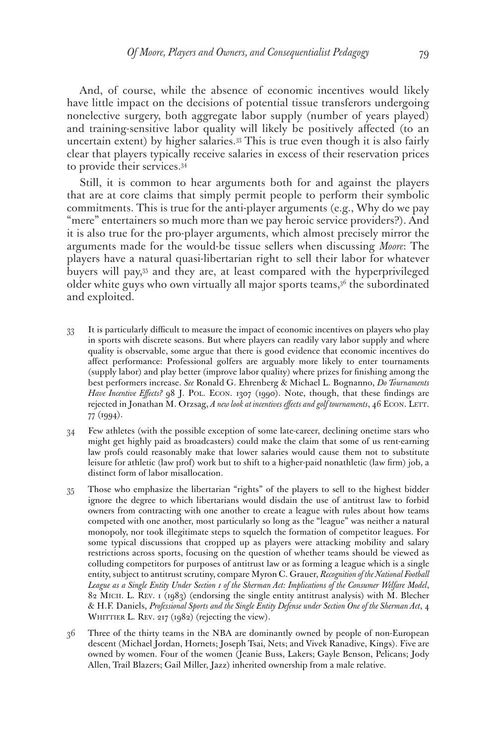And, of course, while the absence of economic incentives would likely have little impact on the decisions of potential tissue transferors undergoing nonelective surgery, both aggregate labor supply (number of years played) and training-sensitive labor quality will likely be positively affected (to an uncertain extent) by higher salaries.33 This is true even though it is also fairly clear that players typically receive salaries in excess of their reservation prices to provide their services.34

Still, it is common to hear arguments both for and against the players that are at core claims that simply permit people to perform their symbolic commitments. This is true for the anti-player arguments (e.g., Why do we pay "mere" entertainers so much more than we pay heroic service providers?). And it is also true for the pro-player arguments, which almost precisely mirror the arguments made for the would-be tissue sellers when discussing *Moore*: The players have a natural quasi-libertarian right to sell their labor for whatever buyers will pay,35 and they are, at least compared with the hyperprivileged older white guys who own virtually all major sports teams,<sup>36</sup> the subordinated and exploited.

- 33 It is particularly difficult to measure the impact of economic incentives on players who play in sports with discrete seasons. But where players can readily vary labor supply and where quality is observable, some argue that there is good evidence that economic incentives do affect performance: Professional golfers are arguably more likely to enter tournaments (supply labor) and play better (improve labor quality) where prizes for finishing among the best performers increase. *See* Ronald G. Ehrenberg & Michael L. Bognanno, *Do Tournaments Have Incentive Effects?* 98 J. POL. ECON. 1307 (1990). Note, though, that these findings are rejected in Jonathan M. Orzsag, *A new look at incentives effects and golf tournaments*, 46 ECON. LETT. 77 (1994).
- 34 Few athletes (with the possible exception of some late-career, declining onetime stars who might get highly paid as broadcasters) could make the claim that some of us rent-earning law profs could reasonably make that lower salaries would cause them not to substitute leisure for athletic (law prof) work but to shift to a higher-paid nonathletic (law firm) job, a distinct form of labor misallocation.
- 35 Those who emphasize the libertarian "rights" of the players to sell to the highest bidder ignore the degree to which libertarians would disdain the use of antitrust law to forbid owners from contracting with one another to create a league with rules about how teams competed with one another, most particularly so long as the "league" was neither a natural monopoly, nor took illegitimate steps to squelch the formation of competitor leagues. For some typical discussions that cropped up as players were attacking mobility and salary restrictions across sports, focusing on the question of whether teams should be viewed as colluding competitors for purposes of antitrust law or as forming a league which is a single entity, subject to antitrust scrutiny, compare Myron C. Grauer, *Recognition of the National Football League as a Single Entity Under Section 1 of the Sherman Act: Implications of the Consumer Welfare Model*, 82 Mich. L. Rev. 1 (1983) (endorsing the single entity antitrust analysis) with M. Blecher & H.F. Daniels, *Professional Sports and the Single Entity Defense under Section One of the Sherman Act*, 4 WHITTIER L. REV.  $217$  ( $1982$ ) (rejecting the view).
- 36 Three of the thirty teams in the NBA are dominantly owned by people of non-European descent (Michael Jordan, Hornets; Joseph Tsai, Nets; and Vivek Ranadive, Kings). Five are owned by women. Four of the women (Jeanie Buss, Lakers; Gayle Benson, Pelicans; Jody Allen, Trail Blazers; Gail Miller, Jazz) inherited ownership from a male relative.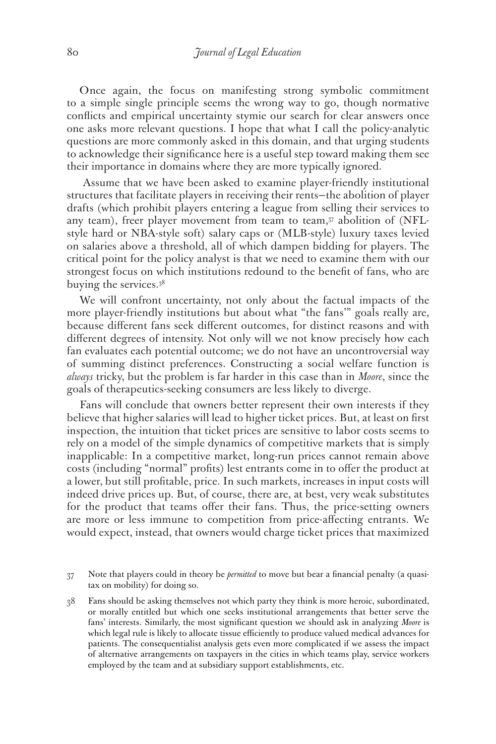Once again, the focus on manifesting strong symbolic commitment to a simple single principle seems the wrong way to go, though normative conflicts and empirical uncertainty stymie our search for clear answers once one asks more relevant questions. I hope that what I call the policy-analytic questions are more commonly asked in this domain, and that urging students to acknowledge their significance here is a useful step toward making them see their importance in domains where they are more typically ignored.

 Assume that we have been asked to examine player-friendly institutional structures that facilitate players in receiving their rents—the abolition of player drafts (which prohibit players entering a league from selling their services to any team), freer player movement from team to team,<sup>37</sup> abolition of (NFLstyle hard or NBA-style soft) salary caps or (MLB-style) luxury taxes levied on salaries above a threshold, all of which dampen bidding for players. The critical point for the policy analyst is that we need to examine them with our strongest focus on which institutions redound to the benefit of fans, who are buying the services.38

We will confront uncertainty, not only about the factual impacts of the more player-friendly institutions but about what "the fans'" goals really are, because different fans seek different outcomes, for distinct reasons and with different degrees of intensity. Not only will we not know precisely how each fan evaluates each potential outcome; we do not have an uncontroversial way of summing distinct preferences. Constructing a social welfare function is *always* tricky, but the problem is far harder in this case than in *Moore*, since the goals of therapeutics-seeking consumers are less likely to diverge.

Fans will conclude that owners better represent their own interests if they believe that higher salaries will lead to higher ticket prices. But, at least on first inspection, the intuition that ticket prices are sensitive to labor costs seems to rely on a model of the simple dynamics of competitive markets that is simply inapplicable: In a competitive market, long-run prices cannot remain above costs (including "normal" profits) lest entrants come in to offer the product at a lower, but still profitable, price. In such markets, increases in input costs will indeed drive prices up. But, of course, there are, at best, very weak substitutes for the product that teams offer their fans. Thus, the price-setting owners are more or less immune to competition from price-affecting entrants. We would expect, instead, that owners would charge ticket prices that maximized

<sup>37</sup> Note that players could in theory be *permitted* to move but bear a financial penalty (a quasitax on mobility) for doing so.

<sup>38</sup> Fans should be asking themselves not which party they think is more heroic, subordinated, or morally entitled but which one seeks institutional arrangements that better serve the fans' interests. Similarly, the most significant question we should ask in analyzing *Moore* is which legal rule is likely to allocate tissue efficiently to produce valued medical advances for patients. The consequentialist analysis gets even more complicated if we assess the impact of alternative arrangements on taxpayers in the cities in which teams play, service workers employed by the team and at subsidiary support establishments, etc.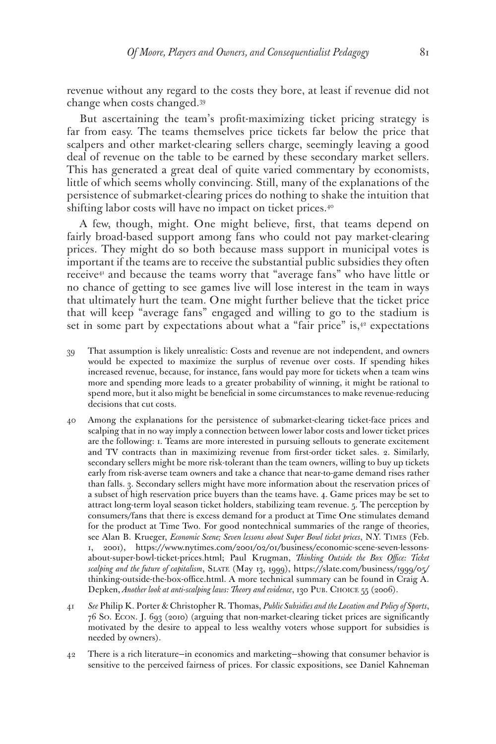revenue without any regard to the costs they bore, at least if revenue did not change when costs changed.39

But ascertaining the team's profit-maximizing ticket pricing strategy is far from easy. The teams themselves price tickets far below the price that scalpers and other market-clearing sellers charge, seemingly leaving a good deal of revenue on the table to be earned by these secondary market sellers. This has generated a great deal of quite varied commentary by economists, little of which seems wholly convincing. Still, many of the explanations of the persistence of submarket-clearing prices do nothing to shake the intuition that shifting labor costs will have no impact on ticket prices.<sup>40</sup>

A few, though, might. One might believe, first, that teams depend on fairly broad-based support among fans who could not pay market-clearing prices. They might do so both because mass support in municipal votes is important if the teams are to receive the substantial public subsidies they often receive<sup>41</sup> and because the teams worry that "average fans" who have little or no chance of getting to see games live will lose interest in the team in ways that ultimately hurt the team. One might further believe that the ticket price that will keep "average fans" engaged and willing to go to the stadium is set in some part by expectations about what a "fair price" is, $42$  expectations

- 39 That assumption is likely unrealistic: Costs and revenue are not independent, and owners would be expected to maximize the surplus of revenue over costs. If spending hikes increased revenue, because, for instance, fans would pay more for tickets when a team wins more and spending more leads to a greater probability of winning, it might be rational to spend more, but it also might be beneficial in some circumstances to make revenue-reducing decisions that cut costs.
- 40 Among the explanations for the persistence of submarket-clearing ticket-face prices and scalping that in no way imply a connection between lower labor costs and lower ticket prices are the following: 1. Teams are more interested in pursuing sellouts to generate excitement and TV contracts than in maximizing revenue from first-order ticket sales. 2. Similarly, secondary sellers might be more risk-tolerant than the team owners, willing to buy up tickets early from risk-averse team owners and take a chance that near-to-game demand rises rather than falls. 3. Secondary sellers might have more information about the reservation prices of a subset of high reservation price buyers than the teams have. 4. Game prices may be set to attract long-term loyal season ticket holders, stabilizing team revenue. 5. The perception by consumers/fans that there is excess demand for a product at Time One stimulates demand for the product at Time Two. For good nontechnical summaries of the range of theories, see Alan B. Krueger, *Economic Scene; Seven lessons about Super Bowl ticket prices*, N.Y. Times (Feb. 1, 2001), https://www.nytimes.com/2001/02/01/business/economic-scene-seven-lessonsabout-super-bowl-ticket-prices.html; Paul Krugman, *Thinking Outside the Box Office: Ticket*  scalping and the future of capitalism, SLATE (May 13, 1999), https://slate.com/business/1999/05/ thinking-outside-the-box-office.html. A more technical summary can be found in Craig A. Depken, Another look at anti-scalping laws: Theory and evidence, 130 PUB. CHOICE 55 (2006).
- 41 *See* Philip K. Porter & Christopher R. Thomas, *Public Subsidies and the Location and Policy of Sports*, 76 So. Econ. J. 693 (2010) (arguing that non-market-clearing ticket prices are significantly motivated by the desire to appeal to less wealthy voters whose support for subsidies is needed by owners).
- 42 There is a rich literature—in economics and marketing—showing that consumer behavior is sensitive to the perceived fairness of prices. For classic expositions, see Daniel Kahneman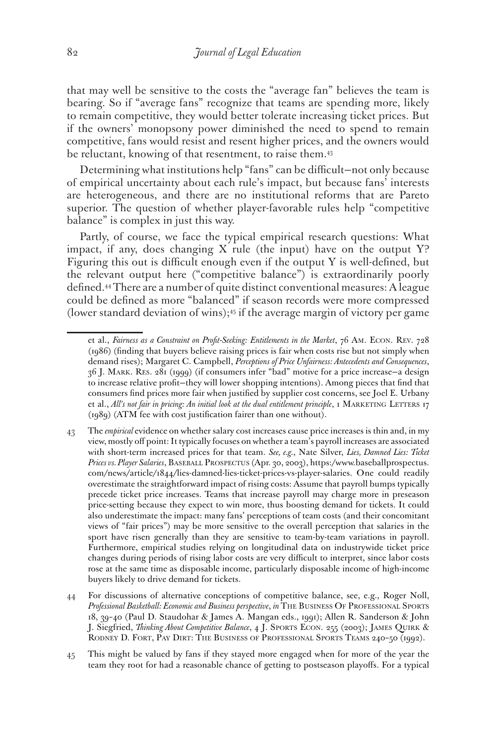that may well be sensitive to the costs the "average fan" believes the team is bearing. So if "average fans" recognize that teams are spending more, likely to remain competitive, they would better tolerate increasing ticket prices. But if the owners' monopsony power diminished the need to spend to remain competitive, fans would resist and resent higher prices, and the owners would be reluctant, knowing of that resentment, to raise them.<sup>43</sup>

Determining what institutions help "fans" can be difficult—not only because of empirical uncertainty about each rule's impact, but because fans' interests are heterogeneous, and there are no institutional reforms that are Pareto superior. The question of whether player-favorable rules help "competitive balance" is complex in just this way.

Partly, of course, we face the typical empirical research questions: What impact, if any, does changing X rule (the input) have on the output Y? Figuring this out is difficult enough even if the output Y is well-defined, but the relevant output here ("competitive balance") is extraordinarily poorly defined.44 There are a number of quite distinct conventional measures: A league could be defined as more "balanced" if season records were more compressed (lower standard deviation of wins); $45$  if the average margin of victory per game

et al., *Fairness as a Constraint on Profit-Seeking: Entitlements in the Market*, 76 Am. Econ. Rev. 728 (1986) (finding that buyers believe raising prices is fair when costs rise but not simply when demand rises); Margaret C. Campbell, *Perceptions of Price Unfairness: Antecedents and Consequences*, 36 J. Mark. Res. 281 (1999) (if consumers infer "bad" motive for a price increase—a design to increase relative profit—they will lower shopping intentions). Among pieces that find that consumers find prices more fair when justified by supplier cost concerns, see Joel E. Urbany et al., *All's not fair in pricing: An initial look at the dual entitlement principle*, 1 MARKETING LETTERS 17 (1989) (ATM fee with cost justification fairer than one without).

<sup>43</sup> The *empirical* evidence on whether salary cost increases cause price increases is thin and, in my view, mostly off point: It typically focuses on whether a team's payroll increases are associated with short-term increased prices for that team. *See, e.g.*, Nate Silver, *Lies, Damned Lies: Ticket Prices vs. Player Salaries*, Baseball Prospectus (Apr. 30, 2003), https:/www.baseballprospectus. com/news/article/1844/lies-damned-lies-ticket-prices-vs-player-salaries. One could readily overestimate the straightforward impact of rising costs: Assume that payroll bumps typically precede ticket price increases. Teams that increase payroll may charge more in preseason price-setting because they expect to win more, thus boosting demand for tickets. It could also underestimate the impact: many fans' perceptions of team costs (and their concomitant views of "fair prices") may be more sensitive to the overall perception that salaries in the sport have risen generally than they are sensitive to team-by-team variations in payroll. Furthermore, empirical studies relying on longitudinal data on industrywide ticket price changes during periods of rising labor costs are very difficult to interpret, since labor costs rose at the same time as disposable income, particularly disposable income of high-income buyers likely to drive demand for tickets.

<sup>44</sup> For discussions of alternative conceptions of competitive balance, see, e.g., Roger Noll, *Professional Basketball: Economic and Business perspective*, *in* The Business Of Professional Sports 18, 39–40 (Paul D. Staudohar & James A. Mangan eds., 1991); Allen R. Sanderson & John J. Siegfried, *Thinking About Competitive Balance*, 4 J. Sports Econ. 255 (2003); James Quirk & RODNEY D. FORT, PAY DIRT: THE BUSINESS OF PROFESSIONAL SPORTS TEAMS 240-50 (1992).

<sup>45</sup> This might be valued by fans if they stayed more engaged when for more of the year the team they root for had a reasonable chance of getting to postseason playoffs. For a typical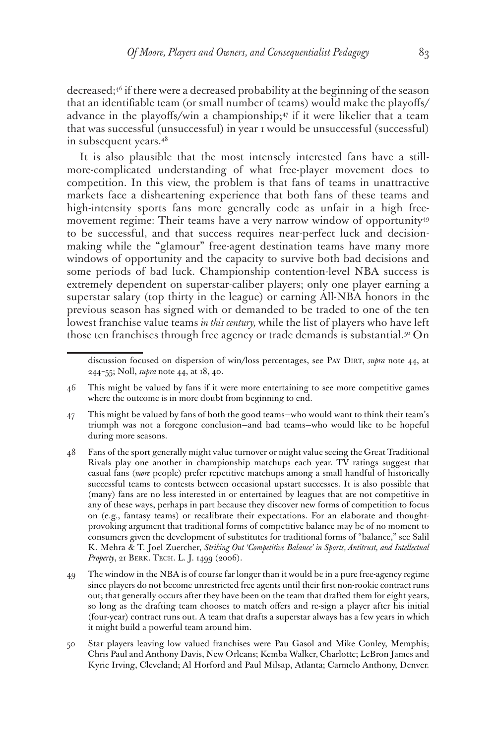decreased;46 if there were a decreased probability at the beginning of the season that an identifiable team (or small number of teams) would make the playoffs/ advance in the playoffs/win a championship;<sup>47</sup> if it were likelier that a team that was successful (unsuccessful) in year 1 would be unsuccessful (successful) in subsequent years.48

It is also plausible that the most intensely interested fans have a stillmore-complicated understanding of what free-player movement does to competition. In this view, the problem is that fans of teams in unattractive markets face a disheartening experience that both fans of these teams and high-intensity sports fans more generally code as unfair in a high freemovement regime: Their teams have a very narrow window of opportunity<sup>49</sup> to be successful, and that success requires near-perfect luck and decisionmaking while the "glamour" free-agent destination teams have many more windows of opportunity and the capacity to survive both bad decisions and some periods of bad luck. Championship contention-level NBA success is extremely dependent on superstar-caliber players; only one player earning a superstar salary (top thirty in the league) or earning All-NBA honors in the previous season has signed with or demanded to be traded to one of the ten lowest franchise value teams *in this century,* while the list of players who have left those ten franchises through free agency or trade demands is substantial.<sup>50</sup> On

discussion focused on dispersion of win/loss percentages, see Pay Dirt, *supra* note 44, at 244–55; Noll, *supra* note 44, at 18, 40.

<sup>46</sup> This might be valued by fans if it were more entertaining to see more competitive games where the outcome is in more doubt from beginning to end.

<sup>47</sup> This might be valued by fans of both the good teams—who would want to think their team's triumph was not a foregone conclusion—and bad teams—who would like to be hopeful during more seasons.

<sup>48</sup> Fans of the sport generally might value turnover or might value seeing the Great Traditional Rivals play one another in championship matchups each year. TV ratings suggest that casual fans (*more* people) prefer repetitive matchups among a small handful of historically successful teams to contests between occasional upstart successes. It is also possible that (many) fans are no less interested in or entertained by leagues that are not competitive in any of these ways, perhaps in part because they discover new forms of competition to focus on (e.g., fantasy teams) or recalibrate their expectations. For an elaborate and thoughtprovoking argument that traditional forms of competitive balance may be of no moment to consumers given the development of substitutes for traditional forms of "balance," see Salil K. Mehra & T. Joel Zuercher, *Striking Out 'Competitive Balance' in Sports, Antitrust, and Intellectual Property*, 21 Berk. Tech. L. J. 1499 (2006).

<sup>49</sup> The window in the NBA is of course far longer than it would be in a pure free-agency regime since players do not become unrestricted free agents until their first non-rookie contract runs out; that generally occurs after they have been on the team that drafted them for eight years, so long as the drafting team chooses to match offers and re-sign a player after his initial (four-year) contract runs out. A team that drafts a superstar always has a few years in which it might build a powerful team around him.

<sup>50</sup> Star players leaving low valued franchises were Pau Gasol and Mike Conley, Memphis; Chris Paul and Anthony Davis, New Orleans; Kemba Walker, Charlotte; LeBron James and Kyrie Irving, Cleveland; Al Horford and Paul Milsap, Atlanta; Carmelo Anthony, Denver.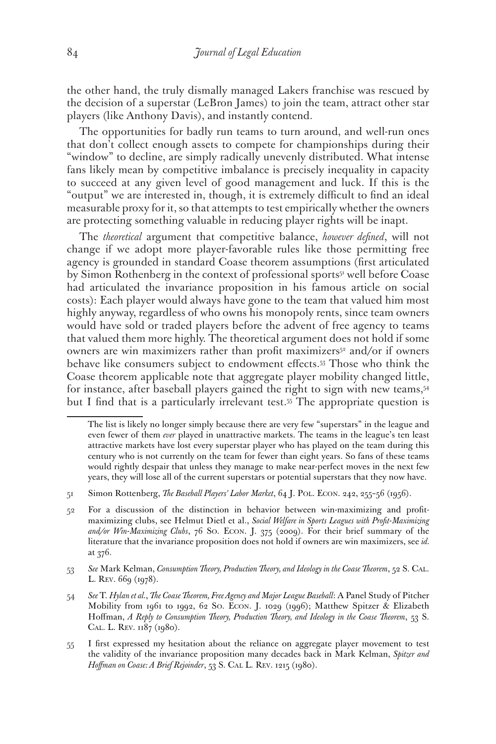the other hand, the truly dismally managed Lakers franchise was rescued by the decision of a superstar (LeBron James) to join the team, attract other star players (like Anthony Davis), and instantly contend.

The opportunities for badly run teams to turn around, and well-run ones that don't collect enough assets to compete for championships during their "window" to decline, are simply radically unevenly distributed. What intense fans likely mean by competitive imbalance is precisely inequality in capacity to succeed at any given level of good management and luck. If this is the "output" we are interested in, though, it is extremely difficult to find an ideal measurable proxy for it, so that attempts to test empirically whether the owners are protecting something valuable in reducing player rights will be inapt.

The *theoretical* argument that competitive balance, *however defined*, will not change if we adopt more player-favorable rules like those permitting free agency is grounded in standard Coase theorem assumptions (first articulated by Simon Rothenberg in the context of professional sports<sup>51</sup> well before Coase had articulated the invariance proposition in his famous article on social costs): Each player would always have gone to the team that valued him most highly anyway, regardless of who owns his monopoly rents, since team owners would have sold or traded players before the advent of free agency to teams that valued them more highly. The theoretical argument does not hold if some owners are win maximizers rather than profit maximizers<sup>52</sup> and/or if owners behave like consumers subject to endowment effects.53 Those who think the Coase theorem applicable note that aggregate player mobility changed little, for instance, after baseball players gained the right to sign with new teams,<sup>54</sup> but I find that is a particularly irrelevant test.<sup>55</sup> The appropriate question is

The list is likely no longer simply because there are very few "superstars" in the league and even fewer of them *ever* played in unattractive markets. The teams in the league's ten least attractive markets have lost every superstar player who has played on the team during this century who is not currently on the team for fewer than eight years. So fans of these teams would rightly despair that unless they manage to make near-perfect moves in the next few years, they will lose all of the current superstars or potential superstars that they now have.

<sup>51</sup> Simon Rottenberg, *The Baseball Players' Labor Market*, 64 J. Pol. Econ. 242, 255–56 (1956).

<sup>52</sup> For a discussion of the distinction in behavior between win-maximizing and profitmaximizing clubs, see Helmut Dietl et al., *Social Welfare in Sports Leagues with Profit-Maximizing and/or Win-Maximizing Clubs*, 76 So. Econ. J. 375 (2009). For their brief summary of the literature that the invariance proposition does not hold if owners are win maximizers, see *id.* at 376.

<sup>53</sup> *See* Mark Kelman, *Consumption Theory, Production Theory, and Ideology in the Coase Theorem*, 52 S. Cal. L. REV. 669 (1978).

<sup>54</sup> *See* T. *Hylan et al.*, *The Coase Theorem, Free Agency and Major League Baseball*: A Panel Study of Pitcher Mobility from 1961 to 1992, 62 So. Econ. J. 1029 (1996); Matthew Spitzer & Elizabeth Hoffman, *A Reply to Consumption Theory, Production Theory, and Ideology in the Coase Theorem*, 53 S. Cal. L. Rev. 1187 (1980).

<sup>55</sup> I first expressed my hesitation about the reliance on aggregate player movement to test the validity of the invariance proposition many decades back in Mark Kelman, *Spitzer and Hoffman on Coase: A Brief Rejoinder*, 53 S. Cal L. Rev. 1215 (1980).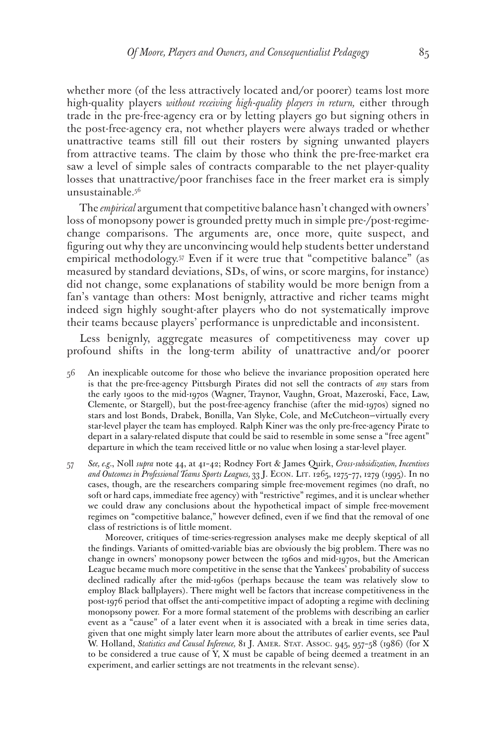whether more (of the less attractively located and/or poorer) teams lost more high-quality players *without receiving high-quality players in return,* either through trade in the pre-free-agency era or by letting players go but signing others in the post-free-agency era, not whether players were always traded or whether unattractive teams still fill out their rosters by signing unwanted players from attractive teams. The claim by those who think the pre-free-market era saw a level of simple sales of contracts comparable to the net player-quality losses that unattractive/poor franchises face in the freer market era is simply unsustainable.56

The *empirical* argument that competitive balance hasn't changed with owners' loss of monopsony power is grounded pretty much in simple pre-/post-regimechange comparisons. The arguments are, once more, quite suspect, and figuring out why they are unconvincing would help students better understand empirical methodology.57 Even if it were true that "competitive balance" (as measured by standard deviations, SDs, of wins, or score margins, for instance) did not change, some explanations of stability would be more benign from a fan's vantage than others: Most benignly, attractive and richer teams might indeed sign highly sought-after players who do not systematically improve their teams because players' performance is unpredictable and inconsistent.

Less benignly, aggregate measures of competitiveness may cover up profound shifts in the long-term ability of unattractive and/or poorer

- 56 An inexplicable outcome for those who believe the invariance proposition operated here is that the pre-free-agency Pittsburgh Pirates did not sell the contracts of *any* stars from the early 1900s to the mid-1970s (Wagner, Traynor, Vaughn, Groat, Mazeroski, Face, Law, Clemente, or Stargell), but the post-free-agency franchise (after the mid-1970s) signed no stars and lost Bonds, Drabek, Bonilla, Van Slyke, Cole, and McCutcheon—virtually every star-level player the team has employed. Ralph Kiner was the only pre-free-agency Pirate to depart in a salary-related dispute that could be said to resemble in some sense a "free agent" departure in which the team received little or no value when losing a star-level player.
- 57 *See, e.g.*, Noll *supra* note 44, at 41–42; Rodney Fort & James Quirk, *Cross-subsidization, Incentives and Outcomes in Professional Teams Sports Leagues,* 33 J. Econ. Lit. 1265, 1275–77, 1279 (1995). In no cases, though, are the researchers comparing simple free-movement regimes (no draft, no soft or hard caps, immediate free agency) with "restrictive" regimes, and it is unclear whether we could draw any conclusions about the hypothetical impact of simple free-movement regimes on "competitive balance," however defined, even if we find that the removal of one class of restrictions is of little moment.

 Moreover, critiques of time-series-regression analyses make me deeply skeptical of all the findings. Variants of omitted-variable bias are obviously the big problem. There was no change in owners' monopsony power between the 1960s and mid-1970s, but the American League became much more competitive in the sense that the Yankees' probability of success declined radically after the mid-1960s (perhaps because the team was relatively slow to employ Black ballplayers). There might well be factors that increase competitiveness in the post-1976 period that offset the anti-competitive impact of adopting a regime with declining monopsony power. For a more formal statement of the problems with describing an earlier event as a "cause" of a later event when it is associated with a break in time series data, given that one might simply later learn more about the attributes of earlier events, see Paul W. Holland, *Statistics and Causal Inference,* 81 J. Amer. Stat. Assoc. 945, 957–58 (1986) (for X to be considered a true cause of Y, X must be capable of being deemed a treatment in an experiment, and earlier settings are not treatments in the relevant sense).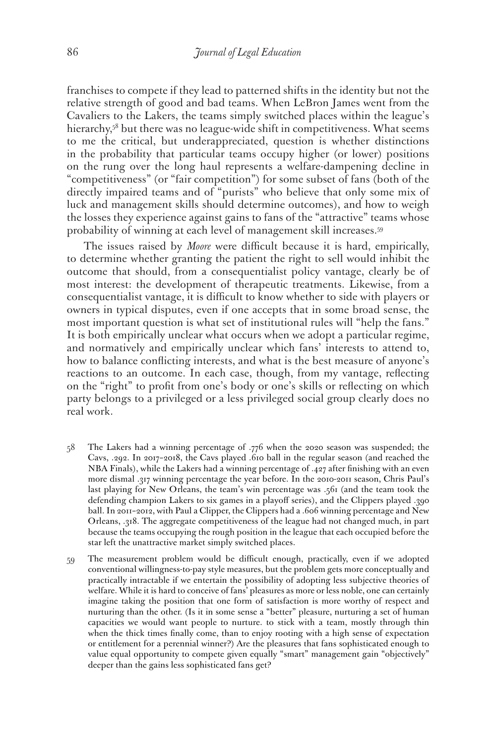franchises to compete if they lead to patterned shifts in the identity but not the relative strength of good and bad teams. When LeBron James went from the Cavaliers to the Lakers, the teams simply switched places within the league's hierarchy,<sup>58</sup> but there was no league-wide shift in competitiveness. What seems to me the critical, but underappreciated, question is whether distinctions in the probability that particular teams occupy higher (or lower) positions on the rung over the long haul represents a welfare-dampening decline in "competitiveness" (or "fair competition") for some subset of fans (both of the directly impaired teams and of "purists" who believe that only some mix of luck and management skills should determine outcomes), and how to weigh the losses they experience against gains to fans of the "attractive" teams whose probability of winning at each level of management skill increases.59

 The issues raised by *Moore* were difficult because it is hard, empirically, to determine whether granting the patient the right to sell would inhibit the outcome that should, from a consequentialist policy vantage, clearly be of most interest: the development of therapeutic treatments. Likewise, from a consequentialist vantage, it is difficult to know whether to side with players or owners in typical disputes, even if one accepts that in some broad sense, the most important question is what set of institutional rules will "help the fans." It is both empirically unclear what occurs when we adopt a particular regime, and normatively and empirically unclear which fans' interests to attend to, how to balance conflicting interests, and what is the best measure of anyone's reactions to an outcome. In each case, though, from my vantage, reflecting on the "right" to profit from one's body or one's skills or reflecting on which party belongs to a privileged or a less privileged social group clearly does no real work.

- 58 The Lakers had a winning percentage of .776 when the 2020 season was suspended; the Cavs, .292. In 2017–2018, the Cavs played .610 ball in the regular season (and reached the NBA Finals), while the Lakers had a winning percentage of .427 after finishing with an even more dismal .317 winning percentage the year before. In the 2010-2011 season, Chris Paul's last playing for New Orleans, the team's win percentage was .561 (and the team took the defending champion Lakers to six games in a playoff series), and the Clippers played .390 ball. In 2011–2012, with Paul a Clipper, the Clippers had a .606 winning percentage and New Orleans, .318. The aggregate competitiveness of the league had not changed much, in part because the teams occupying the rough position in the league that each occupied before the star left the unattractive market simply switched places.
- 59 The measurement problem would be difficult enough, practically, even if we adopted conventional willingness-to-pay style measures, but the problem gets more conceptually and practically intractable if we entertain the possibility of adopting less subjective theories of welfare. While it is hard to conceive of fans' pleasures as more or less noble, one can certainly imagine taking the position that one form of satisfaction is more worthy of respect and nurturing than the other. (Is it in some sense a "better" pleasure, nurturing a set of human capacities we would want people to nurture. to stick with a team, mostly through thin when the thick times finally come, than to enjoy rooting with a high sense of expectation or entitlement for a perennial winner?) Are the pleasures that fans sophisticated enough to value equal opportunity to compete given equally "smart" management gain "objectively" deeper than the gains less sophisticated fans get?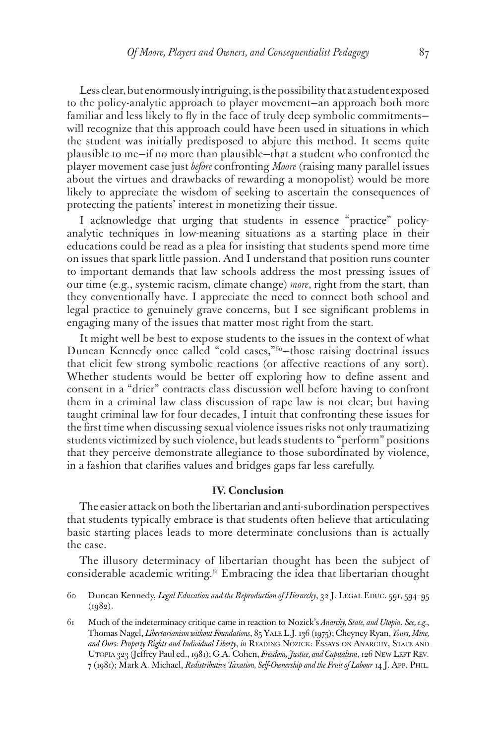Less clear, but enormously intriguing, is the possibility that a student exposed to the policy-analytic approach to player movement—an approach both more familiar and less likely to fly in the face of truly deep symbolic commitmentswill recognize that this approach could have been used in situations in which the student was initially predisposed to abjure this method. It seems quite plausible to me—if no more than plausible—that a student who confronted the player movement case just *before* confronting *Moore* (raising many parallel issues about the virtues and drawbacks of rewarding a monopolist) would be more likely to appreciate the wisdom of seeking to ascertain the consequences of protecting the patients' interest in monetizing their tissue.

I acknowledge that urging that students in essence "practice" policyanalytic techniques in low-meaning situations as a starting place in their educations could be read as a plea for insisting that students spend more time on issues that spark little passion. And I understand that position runs counter to important demands that law schools address the most pressing issues of our time (e.g., systemic racism, climate change) *more*, right from the start, than they conventionally have. I appreciate the need to connect both school and legal practice to genuinely grave concerns, but I see significant problems in engaging many of the issues that matter most right from the start.

It might well be best to expose students to the issues in the context of what Duncan Kennedy once called "cold cases,"<sup>60</sup>-those raising doctrinal issues that elicit few strong symbolic reactions (or affective reactions of any sort). Whether students would be better off exploring how to define assent and consent in a "drier" contracts class discussion well before having to confront them in a criminal law class discussion of rape law is not clear; but having taught criminal law for four decades, I intuit that confronting these issues for the first time when discussing sexual violence issues risks not only traumatizing students victimized by such violence, but leads students to "perform" positions that they perceive demonstrate allegiance to those subordinated by violence, in a fashion that clarifies values and bridges gaps far less carefully.

#### **IV. Conclusion**

The easier attack on both the libertarian and anti-subordination perspectives that students typically embrace is that students often believe that articulating basic starting places leads to more determinate conclusions than is actually the case.

The illusory determinacy of libertarian thought has been the subject of considerable academic writing.61 Embracing the idea that libertarian thought

60 Duncan Kennedy, *Legal Education and the Reproduction of Hierarchy*, 32 J. Legal Educ. 591, 594–95 (1982).

61 Much of the indeterminacy critique came in reaction to Nozick's *Anarchy, State, and Utopia*. *See, e.g.*, Thomas Nagel, *Libertarianism without Foundations*, 85 Yale L.J. 136 (1975); Cheyney Ryan, *Yours, Mine,*  and Ours: Property Rights and Individual Liberty, in READING NOZICK: ESSAYS ON ANARCHY, STATE AND UTOPIA 323 (Jeffrey Paul ed., 1981); G.A. Cohen, *Freedom, Justice, and Capitalism*, 126 NEW LEFT REV. 7 (1981); Mark A. Michael, *Redistributive Taxation, Self-Ownership and the Fruit of Labour* 14 J. App. Phil.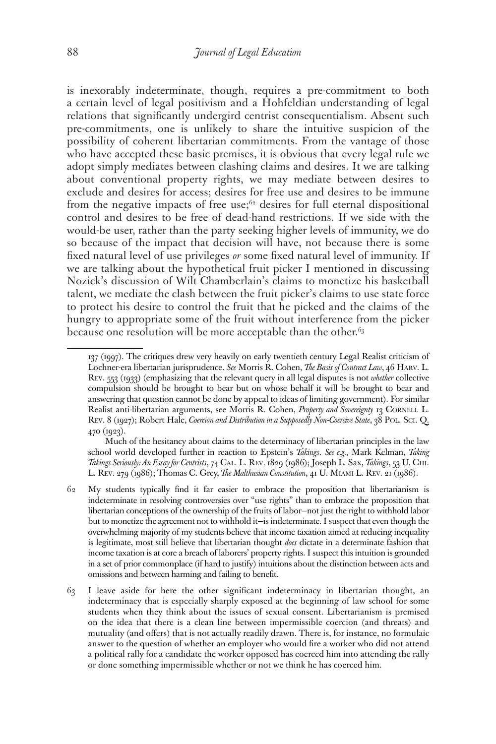is inexorably indeterminate, though, requires a pre-commitment to both a certain level of legal positivism and a Hohfeldian understanding of legal relations that significantly undergird centrist consequentialism. Absent such pre-commitments, one is unlikely to share the intuitive suspicion of the possibility of coherent libertarian commitments. From the vantage of those who have accepted these basic premises, it is obvious that every legal rule we adopt simply mediates between clashing claims and desires. It we are talking about conventional property rights, we may mediate between desires to exclude and desires for access; desires for free use and desires to be immune from the negative impacts of free use;<sup>62</sup> desires for full eternal dispositional control and desires to be free of dead-hand restrictions. If we side with the would-be user, rather than the party seeking higher levels of immunity, we do so because of the impact that decision will have, not because there is some fixed natural level of use privileges *or* some fixed natural level of immunity. If we are talking about the hypothetical fruit picker I mentioned in discussing Nozick's discussion of Wilt Chamberlain's claims to monetize his basketball talent, we mediate the clash between the fruit picker's claims to use state force to protect his desire to control the fruit that he picked and the claims of the hungry to appropriate some of the fruit without interference from the picker because one resolution will be more acceptable than the other.<sup>63</sup>

<sup>137 (1997).</sup> The critiques drew very heavily on early twentieth century Legal Realist criticism of Lochner-era libertarian jurisprudence. *See* Morris R. Cohen, *The Basis of Contract Law*, 46 Harv. L. Rev. 553 (1933) (emphasizing that the relevant query in all legal disputes is not *whether* collective compulsion should be brought to bear but on whose behalf it will be brought to bear and answering that question cannot be done by appeal to ideas of limiting government). For similar Realist anti-libertarian arguments, see Morris R. Cohen, *Property and Sovereignty* 13 CORNELL L. REV. 8 (1927); Robert Hale, *Coercion and Distribution in a Supposedly Non-Coercive State*, 38 POL. Sci. Q. 470 (1923).

Much of the hesitancy about claims to the determinacy of libertarian principles in the law school world developed further in reaction to Epstein's *Takings*. *See e.g.*, Mark Kelman, *Taking Takings Seriously: An Essay for Centrists*, 74 Cal. L. Rev. 1829 (1986); Joseph L. Sax, *Takings*, 53 U. Chi. L. Rev. 279 (1986); Thomas C. Grey, *The Malthusian Constitution*, 41 U. Miami L. Rev. 21 (1986).

<sup>62</sup> My students typically find it far easier to embrace the proposition that libertarianism is indeterminate in resolving controversies over "use rights" than to embrace the proposition that libertarian conceptions of the ownership of the fruits of labor—not just the right to withhold labor but to monetize the agreement not to withhold it—is indeterminate. I suspect that even though the overwhelming majority of my students believe that income taxation aimed at reducing inequality is legitimate, most still believe that libertarian thought *does* dictate in a determinate fashion that income taxation is at core a breach of laborers' property rights. I suspect this intuition is grounded in a set of prior commonplace (if hard to justify) intuitions about the distinction between acts and omissions and between harming and failing to benefit.

<sup>63</sup> I leave aside for here the other significant indeterminacy in libertarian thought, an indeterminacy that is especially sharply exposed at the beginning of law school for some students when they think about the issues of sexual consent. Libertarianism is premised on the idea that there is a clean line between impermissible coercion (and threats) and mutuality (and offers) that is not actually readily drawn. There is, for instance, no formulaic answer to the question of whether an employer who would fire a worker who did not attend a political rally for a candidate the worker opposed has coerced him into attending the rally or done something impermissible whether or not we think he has coerced him.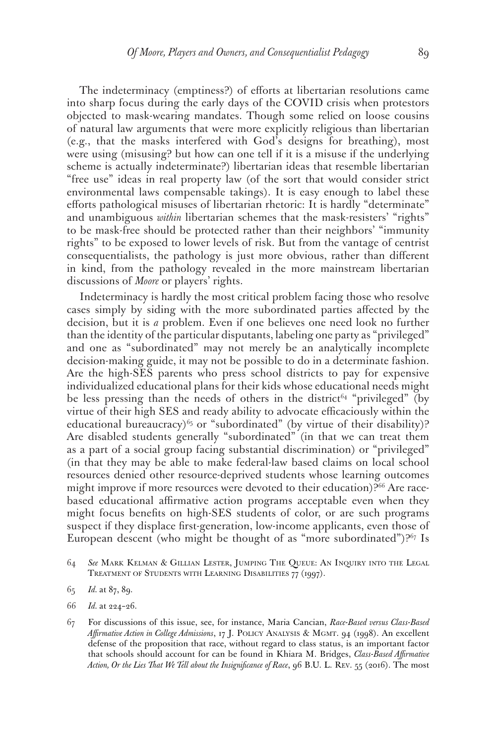The indeterminacy (emptiness?) of efforts at libertarian resolutions came into sharp focus during the early days of the COVID crisis when protestors objected to mask-wearing mandates. Though some relied on loose cousins of natural law arguments that were more explicitly religious than libertarian (e.g., that the masks interfered with God's designs for breathing), most were using (misusing? but how can one tell if it is a misuse if the underlying scheme is actually indeterminate?) libertarian ideas that resemble libertarian "free use" ideas in real property law (of the sort that would consider strict environmental laws compensable takings). It is easy enough to label these efforts pathological misuses of libertarian rhetoric: It is hardly "determinate" and unambiguous *within* libertarian schemes that the mask-resisters' "rights" to be mask-free should be protected rather than their neighbors' "immunity rights" to be exposed to lower levels of risk. But from the vantage of centrist consequentialists, the pathology is just more obvious, rather than different in kind, from the pathology revealed in the more mainstream libertarian discussions of *Moore* or players' rights.

Indeterminacy is hardly the most critical problem facing those who resolve cases simply by siding with the more subordinated parties affected by the decision, but it is *a* problem. Even if one believes one need look no further than the identity of the particular disputants, labeling one party as "privileged" and one as "subordinated" may not merely be an analytically incomplete decision-making guide, it may not be possible to do in a determinate fashion. Are the high-SES parents who press school districts to pay for expensive individualized educational plans for their kids whose educational needs might be less pressing than the needs of others in the district<sup>64</sup> "privileged" (by virtue of their high SES and ready ability to advocate efficaciously within the educational bureaucracy)<sup>65</sup> or "subordinated" (by virtue of their disability)? Are disabled students generally "subordinated" (in that we can treat them as a part of a social group facing substantial discrimination) or "privileged" (in that they may be able to make federal-law based claims on local school resources denied other resource-deprived students whose learning outcomes might improve if more resources were devoted to their education)?<sup>66</sup> Are racebased educational affirmative action programs acceptable even when they might focus benefits on high-SES students of color, or are such programs suspect if they displace first-generation, low-income applicants, even those of European descent (who might be thought of as "more subordinated")? $67$  Is

<sup>64</sup> *See* Mark Kelman & Gillian Lester, Jumping The Queue: An Inquiry into the Legal Treatment of Students with Learning Disabilities 77 (1997).

<sup>65</sup> *Id.* at 87, 89.

<sup>66</sup> *Id.* at 224–26.

<sup>67</sup> For discussions of this issue, see, for instance, Maria Cancian, *Race-Based versus Class-Based*  Affirmative Action in College Admissions, 17 J. POLICY ANALYSIS & MGMT. 94 (1998). An excellent defense of the proposition that race, without regard to class status, is an important factor that schools should account for can be found in Khiara M. Bridges, *Class-Based Affirmative Action, Or the Lies That We Tell about the Insignificance of Race*, 96 B.U. L. Rev. 55 (2016). The most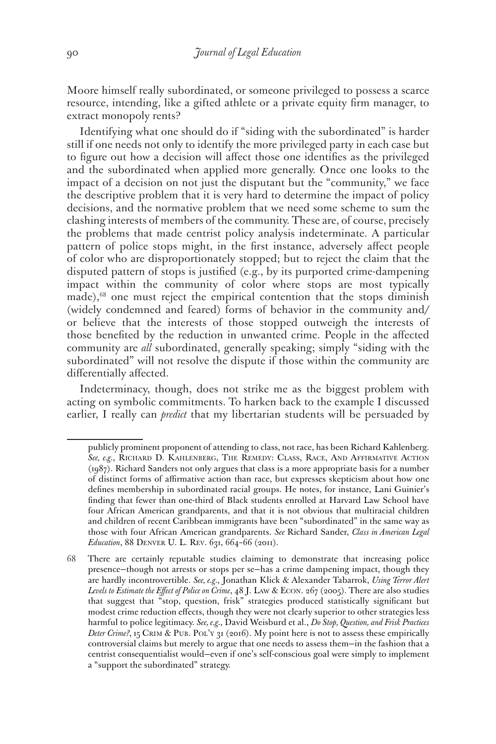Moore himself really subordinated, or someone privileged to possess a scarce resource, intending, like a gifted athlete or a private equity firm manager, to extract monopoly rents?

Identifying what one should do if "siding with the subordinated" is harder still if one needs not only to identify the more privileged party in each case but to figure out how a decision will affect those one identifies as the privileged and the subordinated when applied more generally. Once one looks to the impact of a decision on not just the disputant but the "community," we face the descriptive problem that it is very hard to determine the impact of policy decisions, and the normative problem that we need some scheme to sum the clashing interests of members of the community. These are, of course, precisely the problems that made centrist policy analysis indeterminate. A particular pattern of police stops might, in the first instance, adversely affect people of color who are disproportionately stopped; but to reject the claim that the disputed pattern of stops is justified (e.g., by its purported crime-dampening impact within the community of color where stops are most typically made),68 one must reject the empirical contention that the stops diminish (widely condemned and feared) forms of behavior in the community and/ or believe that the interests of those stopped outweigh the interests of those benefited by the reduction in unwanted crime. People in the affected community are *all* subordinated, generally speaking; simply "siding with the subordinated" will not resolve the dispute if those within the community are differentially affected.

Indeterminacy, though, does not strike me as the biggest problem with acting on symbolic commitments. To harken back to the example I discussed earlier, I really can *predict* that my libertarian students will be persuaded by

publicly prominent proponent of attending to class, not race, has been Richard Kahlenberg. *See, e.g.*, Richard D. Kahlenberg, The Remedy: Class, Race, And Affirmative Action (1987). Richard Sanders not only argues that class is a more appropriate basis for a number of distinct forms of affirmative action than race, but expresses skepticism about how one defines membership in subordinated racial groups. He notes, for instance, Lani Guinier's finding that fewer than one-third of Black students enrolled at Harvard Law School have four African American grandparents, and that it is not obvious that multiracial children and children of recent Caribbean immigrants have been "subordinated" in the same way as those with four African American grandparents. *See* Richard Sander, *Class in American Legal Education*, 88 DENVER U. L. REV. 631, 664-66 (2011).

<sup>68</sup> There are certainly reputable studies claiming to demonstrate that increasing police presence—though not arrests or stops per se—has a crime dampening impact, though they are hardly incontrovertible. *See, e.g.*, Jonathan Klick & Alexander Tabarrok, *Using Terror Alert Levels to Estimate the Effect of Police on Crime*, 48 J. Law & Econ. 267 (2005). There are also studies that suggest that "stop, question, frisk" strategies produced statistically significant but modest crime reduction effects, though they were not clearly superior to other strategies less harmful to police legitimacy. *See, e.g.*, David Weisburd et al., *Do Stop, Question, and Frisk Practices Deter Crime?*, 15 Crim & Pub. Pol'y 31 (2016). My point here is not to assess these empirically controversial claims but merely to argue that one needs to assess them—in the fashion that a centrist consequentialist would—even if one's self-conscious goal were simply to implement a "support the subordinated" strategy.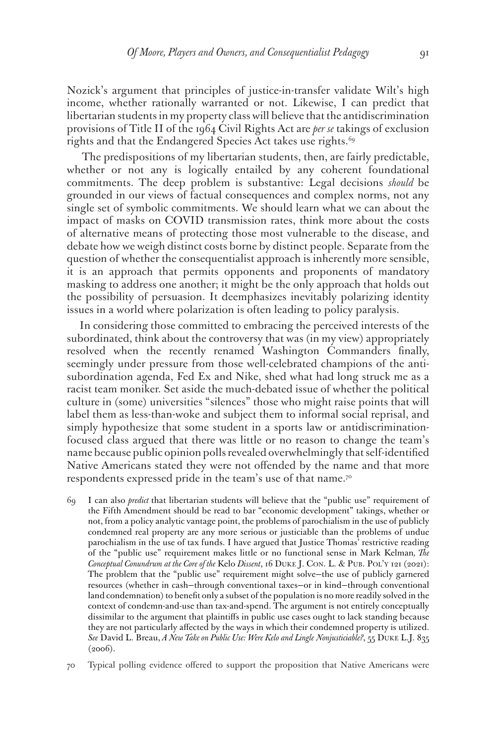Nozick's argument that principles of justice-in-transfer validate Wilt's high income, whether rationally warranted or not. Likewise, I can predict that libertarian students in my property class will believe that the antidiscrimination provisions of Title II of the 1964 Civil Rights Act are *per se* takings of exclusion rights and that the Endangered Species Act takes use rights.<sup>69</sup>

 The predispositions of my libertarian students, then, are fairly predictable, whether or not any is logically entailed by any coherent foundational commitments. The deep problem is substantive: Legal decisions *should* be grounded in our views of factual consequences and complex norms, not any single set of symbolic commitments. We should learn what we can about the impact of masks on COVID transmission rates, think more about the costs of alternative means of protecting those most vulnerable to the disease, and debate how we weigh distinct costs borne by distinct people. Separate from the question of whether the consequentialist approach is inherently more sensible, it is an approach that permits opponents and proponents of mandatory masking to address one another; it might be the only approach that holds out the possibility of persuasion. It deemphasizes inevitably polarizing identity issues in a world where polarization is often leading to policy paralysis.

In considering those committed to embracing the perceived interests of the subordinated, think about the controversy that was (in my view) appropriately resolved when the recently renamed Washington Commanders finally, seemingly under pressure from those well-celebrated champions of the antisubordination agenda, Fed Ex and Nike, shed what had long struck me as a racist team moniker. Set aside the much-debated issue of whether the political culture in (some) universities "silences" those who might raise points that will label them as less-than-woke and subject them to informal social reprisal, and simply hypothesize that some student in a sports law or antidiscriminationfocused class argued that there was little or no reason to change the team's name because public opinion polls revealed overwhelmingly that self-identified Native Americans stated they were not offended by the name and that more respondents expressed pride in the team's use of that name.70

- 69 I can also *predict* that libertarian students will believe that the "public use" requirement of the Fifth Amendment should be read to bar "economic development" takings, whether or not, from a policy analytic vantage point, the problems of parochialism in the use of publicly condemned real property are any more serious or justiciable than the problems of undue parochialism in the use of tax funds. I have argued that Justice Thomas' restrictive reading of the "public use" requirement makes little or no functional sense in Mark Kelman*, The Conceptual Conundrum at the Core of the* Kelo *Dissent*, 16 Duke J. Con. L. & Pub. Pol'y 121 (2021): The problem that the "public use" requirement might solve—the use of publicly garnered resources (whether in cash—through conventional taxes—or in kind—through conventional land condemnation) to benefit only a subset of the population is no more readily solved in the context of condemn-and-use than tax-and-spend. The argument is not entirely conceptually dissimilar to the argument that plaintiffs in public use cases ought to lack standing because they are not particularly affected by the ways in which their condemned property is utilized. *See* David L. Breau, *A New Take on Public Use: Were Kelo and Lingle Nonjusticiable?*, 55 Duke L.J. 835  $(2006).$
- 70 Typical polling evidence offered to support the proposition that Native Americans were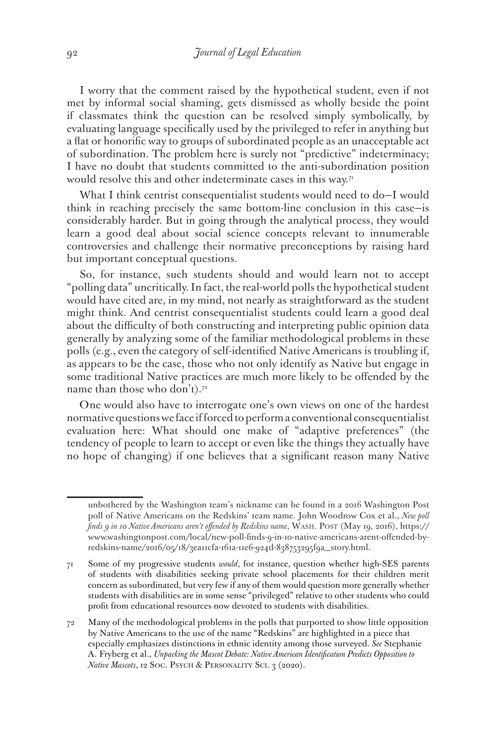I worry that the comment raised by the hypothetical student, even if not met by informal social shaming, gets dismissed as wholly beside the point if classmates think the question can be resolved simply symbolically, by evaluating language specifically used by the privileged to refer in anything but a flat or honorific way to groups of subordinated people as an unacceptable act of subordination. The problem here is surely not "predictive" indeterminacy; I have no doubt that students committed to the anti-subordination position would resolve this and other indeterminate cases in this way.<sup>71</sup>

What I think centrist consequentialist students would need to do—I would think in reaching precisely the same bottom-line conclusion in this case—is considerably harder. But in going through the analytical process, they would learn a good deal about social science concepts relevant to innumerable controversies and challenge their normative preconceptions by raising hard but important conceptual questions.

So, for instance, such students should and would learn not to accept "polling data" uncritically. In fact, the real-world polls the hypothetical student would have cited are, in my mind, not nearly as straightforward as the student might think. And centrist consequentialist students could learn a good deal about the difficulty of both constructing and interpreting public opinion data generally by analyzing some of the familiar methodological problems in these polls (e.g., even the category of self-identified Native Americans is troubling if, as appears to be the case, those who not only identify as Native but engage in some traditional Native practices are much more likely to be offended by the name than those who don't).<sup>72</sup>

One would also have to interrogate one's own views on one of the hardest normative questions we face if forced to perform a conventional consequentialist evaluation here: What should one make of "adaptive preferences" (the tendency of people to learn to accept or even like the things they actually have no hope of changing) if one believes that a significant reason many Native

unbothered by the Washington team's nickname can be found in a 2016 Washington Post poll of Native Americans on the Redskins' team name. John Woodrow Cox et al., *New poll finds 9 in 10 Native Americans aren't offended by Redskins name*, Wash. Post (May 19, 2016), https:// www.washingtonpost.com/local/new-poll-finds-9-in-10-native-americans-arent-offended-byredskins-name/2016/05/18/3ea11cfa-161a-11e6-924d-838753295f9a\_story.html.

<sup>71</sup> Some of my progressive students *would*, for instance, question whether high-SES parents of students with disabilities seeking private school placements for their children merit concern as subordinated, but very few if any of them would question more generally whether students with disabilities are in some sense "privileged" relative to other students who could profit from educational resources now devoted to students with disabilities.

<sup>72</sup> Many of the methodological problems in the polls that purported to show little opposition by Native Americans to the use of the name "Redskins" are highlighted in a piece that especially emphasizes distinctions in ethnic identity among those surveyed. *See* Stephanie A. Fryberg et al., *Unpacking the Mascot Debate: Native American Identification Predicts Opposition to Native Mascots*, 12 SOC. PSYCH & PERSONALITY SCI. 3 (2020).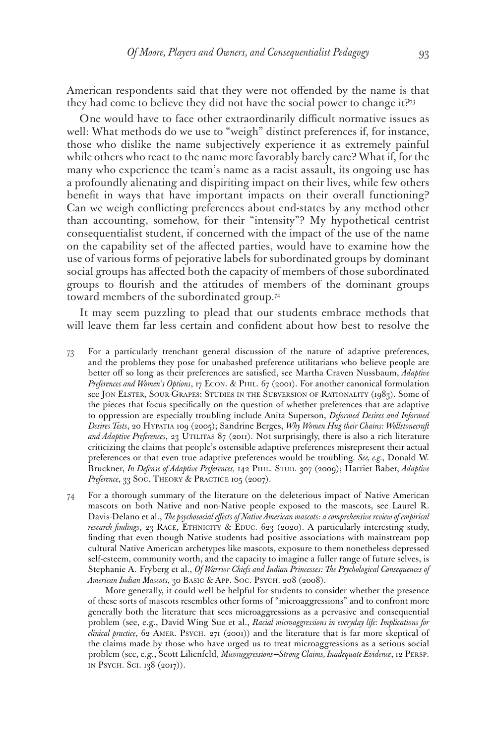American respondents said that they were not offended by the name is that they had come to believe they did not have the social power to change it?73

One would have to face other extraordinarily difficult normative issues as well: What methods do we use to "weigh" distinct preferences if, for instance, those who dislike the name subjectively experience it as extremely painful while others who react to the name more favorably barely care? What if, for the many who experience the team's name as a racist assault, its ongoing use has a profoundly alienating and dispiriting impact on their lives, while few others benefit in ways that have important impacts on their overall functioning? Can we weigh conflicting preferences about end-states by any method other than accounting, somehow, for their "intensity"? My hypothetical centrist consequentialist student, if concerned with the impact of the use of the name on the capability set of the affected parties, would have to examine how the use of various forms of pejorative labels for subordinated groups by dominant social groups has affected both the capacity of members of those subordinated groups to flourish and the attitudes of members of the dominant groups toward members of the subordinated group.74

It may seem puzzling to plead that our students embrace methods that will leave them far less certain and confident about how best to resolve the

- 73 For a particularly trenchant general discussion of the nature of adaptive preferences, and the problems they pose for unabashed preference utilitarians who believe people are better off so long as their preferences are satisfied, see Martha Craven Nussbaum, *Adaptive Preferences and Women's Options*, 17 Econ. & Phil. 67 (2001). For another canonical formulation see Jon Elster, Sour Grapes: Studies in the Subversion of Rationality (1983). Some of the pieces that focus specifically on the question of whether preferences that are adaptive to oppression are especially troubling include Anita Superson, *Deformed Desires and Informed Desires Tests*, 20 Hypatia 109 (2005); Sandrine Berges, *Why Women Hug their Chains: Wollstonecraft*  and Adaptive Preferences, 23 UTILITAS 87 (2011). Not surprisingly, there is also a rich literature criticizing the claims that people's ostensible adaptive preferences misrepresent their actual preferences or that even true adaptive preferences would be troubling. *See, e.g.*, Donald W. Bruckner, *In Defense of Adaptive Preferences,* 142 Phil. Stud. 307 (2009); Harriet Baber, *Adaptive*  Preference, 33 SOC. THEORY & PRACTICE 105 (2007).
- 74 For a thorough summary of the literature on the deleterious impact of Native American mascots on both Native and non-Native people exposed to the mascots, see Laurel R. Davis-Delano et al., *The psychosocial effects of Native American mascots: a comprehensive review of empirical research findings*, 23 RACE, ETHNICITY & EDUC. 623 (2020). A particularly interesting study, finding that even though Native students had positive associations with mainstream pop cultural Native American archetypes like mascots, exposure to them nonetheless depressed self-esteem, community worth, and the capacity to imagine a fuller range of future selves, is Stephanie A. Fryberg et al., *Of Warrior Chiefs and Indian Princesses: The Psychological Consequences of American Indian Mascots*, 30 Basic & App. Soc. Psych. 208 (2008).

 More generally, it could well be helpful for students to consider whether the presence of these sorts of mascots resembles other forms of "microaggressions" and to confront more generally both the literature that sees microaggressions as a pervasive and consequential problem (see, e.g., David Wing Sue et al., *Racial microaggressions in everyday life: Implications for clinical practice*, 62 Amer. Psych. 271 (2001)) and the literature that is far more skeptical of the claims made by those who have urged us to treat microaggressions as a serious social problem (see, e.g., Scott Lilienfeld, *Micoraggressions—Strong Claims, Inadequate Evidence*, 12 Persp. in Psych. Sci. 138 (2017)).